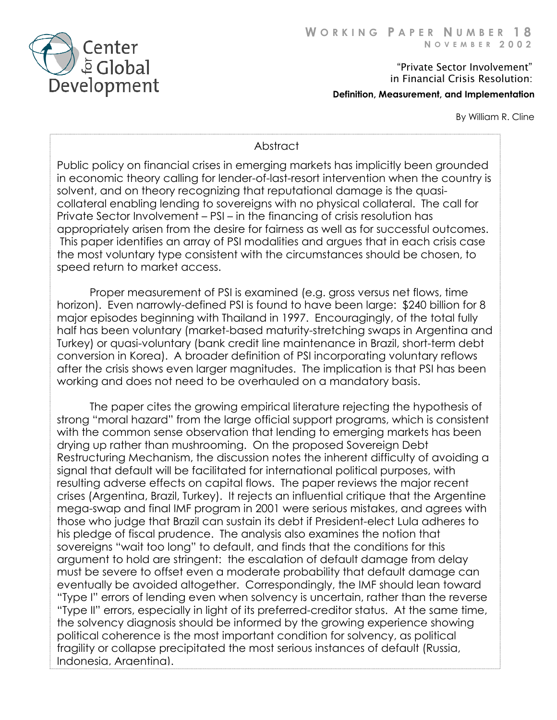

# "Private Sector Involvement" in Financial Crisis Resolution:

 **Definition, Measurement, and Implementation**

By William R. Cline

# Abstract

Public policy on financial crises in emerging markets has implicitly been grounded in economic theory calling for lender-of-last-resort intervention when the country is solvent, and on theory recognizing that reputational damage is the quasicollateral enabling lending to sovereigns with no physical collateral. The call for Private Sector Involvement – PSI – in the financing of crisis resolution has appropriately arisen from the desire for fairness as well as for successful outcomes. This paper identifies an array of PSI modalities and argues that in each crisis case the most voluntary type consistent with the circumstances should be chosen, to speed return to market access.

Proper measurement of PSI is examined (e.g. gross versus net flows, time horizon). Even narrowly-defined PSI is found to have been large: \$240 billion for 8 major episodes beginning with Thailand in 1997. Encouragingly, of the total fully half has been voluntary (market-based maturity-stretching swaps in Argentina and Turkey) or quasi-voluntary (bank credit line maintenance in Brazil, short-term debt conversion in Korea). A broader definition of PSI incorporating voluntary reflows after the crisis shows even larger magnitudes. The implication is that PSI has been working and does not need to be overhauled on a mandatory basis.

- strong "moral hazard" from the large official support programs, which is consistent The paper cites the growing empirical literature rejecting the hypothesis of with the common sense observation that lending to emerging markets has been drying up rather than mushrooming. On the proposed Sovereign Debt Restructuring Mechanism, the discussion notes the inherent difficulty of avoiding a signal that default will be facilitated for international political purposes, with resulting adverse effects on capital flows. The paper reviews the major recent crises (Argentina, Brazil, Turkey). It rejects an influential critique that the Argentine mega-swap and final IMF program in 2001 were serious mistakes, and agrees with those who judge that Brazil can sustain its debt if President-elect Lula adheres to his pledge of fiscal prudence. The analysis also examines the notion that sovereigns "wait too long" to default, and finds that the conditions for this argument to hold are stringent: the escalation of default damage from delay must be severe to offset even a moderate probability that default damage can eventually be avoided altogether. Correspondingly, the IMF should lean toward "Type I" errors of lending even when solvency is uncertain, rather than the reverse "Type II" errors, especially in light of its preferred-creditor status. At the same time, the solvency diagnosis should be informed by the growing experience showing political coherence is the most important condition for solvency, as political fragility or collapse precipitated the most serious instances of default (Russia, Indonesia, Argentina).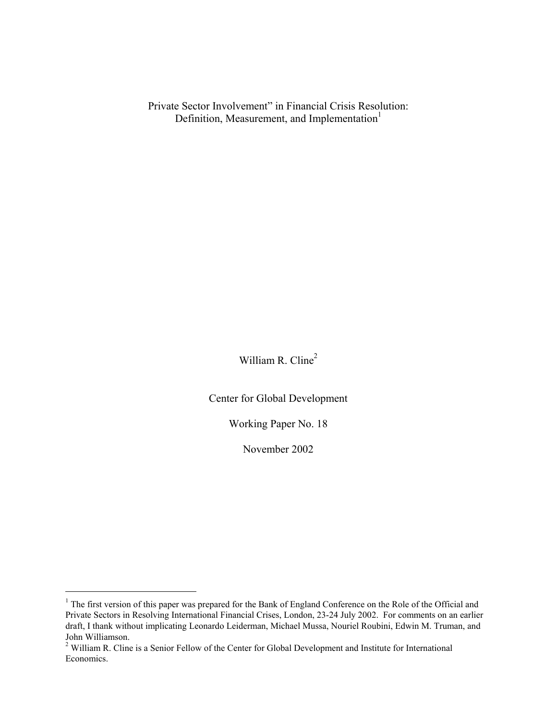Private Sector Involvement" in Financial Crisis Resolution: Definition, Measurement, and Implementation<sup>1</sup>

William R. Cline<sup>[2](#page-1-1)</sup>

Center for Global Development

Working Paper No. 18

November 2002

<span id="page-1-0"></span><sup>&</sup>lt;sup>1</sup> The first version of this paper was prepared for the Bank of England Conference on the Role of the Official and Private Sectors in Resolving International Financial Crises, London, 23-24 July 2002. For comments on an earlier draft, I thank without implicating Leonardo Leiderman, Michael Mussa, Nouriel Roubini, Edwin M. Truman, and John Williamson.<br><sup>2</sup> William R. Cline is a Senior Fellow of the Center for Global Development and Institute for International

<span id="page-1-1"></span>Economics.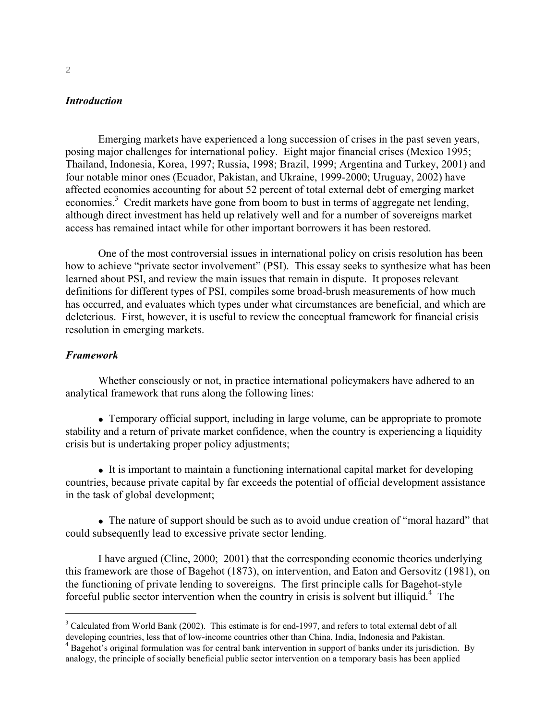# <span id="page-2-1"></span>*Introduction*

 Emerging markets have experienced a long succession of crises in the past seven years, posing major challenges for international policy. Eight major financial crises (Mexico 1995; Thailand, Indonesia, Korea, 1997; Russia, 1998; Brazil, 1999; Argentina and Turkey, 2001) and four notable minor ones (Ecuador, Pakistan, and Ukraine, 1999-2000; Uruguay, 2002) have affected economies accounting for about 52 percent of total external debt of emerging market economies.<sup>[3](#page-2-0)</sup> Credit markets have gone from boom to bust in terms of aggregate net lending, although direct investment has held up relatively well and for a number of sovereigns market access has remained intact while for other important borrowers it has been restored.

 One of the most controversial issues in international policy on crisis resolution has been how to achieve "private sector involvement" (PSI). This essay seeks to synthesize what has been learned about PSI, and review the main issues that remain in dispute. It proposes relevant definitions for different types of PSI, compiles some broad-brush measurements of how much has occurred, and evaluates which types under what circumstances are beneficial, and which are deleterious. First, however, it is useful to review the conceptual framework for financial crisis resolution in emerging markets.

### *Framework*

i<br>I

 Whether consciously or not, in practice international policymakers have adhered to an analytical framework that runs along the following lines:

• Temporary official support, including in large volume, can be appropriate to promote stability and a return of private market confidence, when the country is experiencing a liquidity crisis but is undertaking proper policy adjustments;

• It is important to maintain a functioning international capital market for developing countries, because private capital by far exceeds the potential of official development assistance in the task of global development;

• The nature of support should be such as to avoid undue creation of "moral hazard" that could subsequently lead to excessive private sector lending.

 I have argued (Cline, 2000; 2001) that the corresponding economic theories underlying this framework are those of Bagehot (1873), on intervention, and Eaton and Gersovitz (1981), on the functioning of private lending to sovereigns. The first principle calls for Bagehot-style forceful public sector intervention when the country in crisis is solvent but illiquid.<sup>[4](#page-2-1)</sup> The

<span id="page-2-0"></span><sup>&</sup>lt;sup>3</sup> Calculated from World Bank (2002). This estimate is for end-1997, and refers to total external debt of all developing countries, less that of low-income countries other than China, India, Indonesia and Pakistan. 4

<sup>&</sup>lt;sup>4</sup> Bagehot's original formulation was for central bank intervention in support of banks under its jurisdiction. By analogy, the principle of socially beneficial public sector intervention on a temporary basis has been applied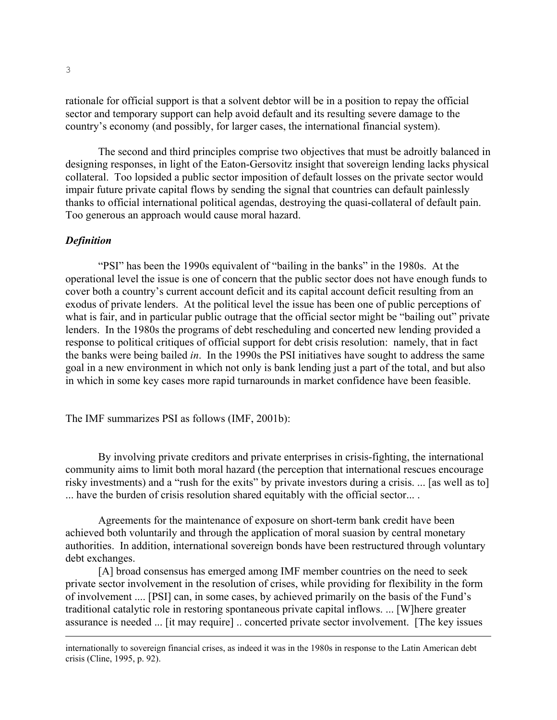rationale for official support is that a solvent debtor will be in a position to repay the official sector and temporary support can help avoid default and its resulting severe damage to the country's economy (and possibly, for larger cases, the international financial system).

 The second and third principles comprise two objectives that must be adroitly balanced in designing responses, in light of the Eaton-Gersovitz insight that sovereign lending lacks physical collateral. Too lopsided a public sector imposition of default losses on the private sector would impair future private capital flows by sending the signal that countries can default painlessly thanks to official international political agendas, destroying the quasi-collateral of default pain. Too generous an approach would cause moral hazard.

# *Definition*

Ē,

 "PSI" has been the 1990s equivalent of "bailing in the banks" in the 1980s. At the operational level the issue is one of concern that the public sector does not have enough funds to cover both a country's current account deficit and its capital account deficit resulting from an exodus of private lenders. At the political level the issue has been one of public perceptions of what is fair, and in particular public outrage that the official sector might be "bailing out" private lenders. In the 1980s the programs of debt rescheduling and concerted new lending provided a response to political critiques of official support for debt crisis resolution: namely, that in fact the banks were being bailed *in*. In the 1990s the PSI initiatives have sought to address the same goal in a new environment in which not only is bank lending just a part of the total, and but also in which in some key cases more rapid turnarounds in market confidence have been feasible.

The IMF summarizes PSI as follows (IMF, 2001b):

 By involving private creditors and private enterprises in crisis-fighting, the international community aims to limit both moral hazard (the perception that international rescues encourage risky investments) and a "rush for the exits" by private investors during a crisis. ... [as well as to] ... have the burden of crisis resolution shared equitably with the official sector... .

 Agreements for the maintenance of exposure on short-term bank credit have been achieved both voluntarily and through the application of moral suasion by central monetary authorities. In addition, international sovereign bonds have been restructured through voluntary debt exchanges.

 [A] broad consensus has emerged among IMF member countries on the need to seek private sector involvement in the resolution of crises, while providing for flexibility in the form of involvement .... [PSI] can, in some cases, by achieved primarily on the basis of the Fund's traditional catalytic role in restoring spontaneous private capital inflows. ... [W]here greater assurance is needed ... [it may require] .. concerted private sector involvement. [The key issues

internationally to sovereign financial crises, as indeed it was in the 1980s in response to the Latin American debt crisis (Cline, 1995, p. 92).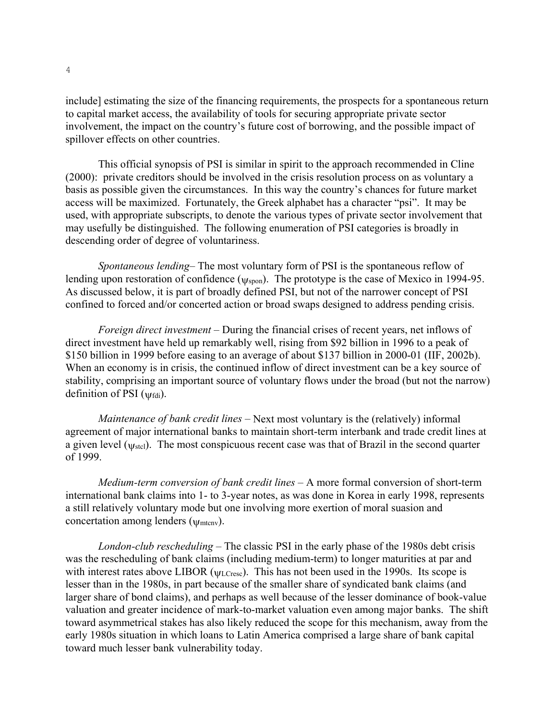include] estimating the size of the financing requirements, the prospects for a spontaneous return to capital market access, the availability of tools for securing appropriate private sector involvement, the impact on the country's future cost of borrowing, and the possible impact of spillover effects on other countries.

 This official synopsis of PSI is similar in spirit to the approach recommended in Cline (2000): private creditors should be involved in the crisis resolution process on as voluntary a basis as possible given the circumstances. In this way the country's chances for future market access will be maximized. Fortunately, the Greek alphabet has a character "psi". It may be used, with appropriate subscripts, to denote the various types of private sector involvement that may usefully be distinguished. The following enumeration of PSI categories is broadly in descending order of degree of voluntariness.

*Spontaneous lending*– The most voluntary form of PSI is the spontaneous reflow of lending upon restoration of confidence (ψspon). The prototype is the case of Mexico in 1994-95. As discussed below, it is part of broadly defined PSI, but not of the narrower concept of PSI confined to forced and/or concerted action or broad swaps designed to address pending crisis.

*Foreign direct investment* – During the financial crises of recent years, net inflows of direct investment have held up remarkably well, rising from \$92 billion in 1996 to a peak of \$150 billion in 1999 before easing to an average of about \$137 billion in 2000-01 (IIF, 2002b). When an economy is in crisis, the continued inflow of direct investment can be a key source of stability, comprising an important source of voluntary flows under the broad (but not the narrow) definition of PSI (ψfdi).

*Maintenance of bank credit lines –* Next most voluntary is the (relatively) informal agreement of major international banks to maintain short-term interbank and trade credit lines at a given level  $(y<sub>stcl</sub>)$ . The most conspicuous recent case was that of Brazil in the second quarter of 1999.

*Medium-term conversion of bank credit lines –* A more formal conversion of short-term international bank claims into 1- to 3-year notes, as was done in Korea in early 1998, represents a still relatively voluntary mode but one involving more exertion of moral suasion and concertation among lenders ( $υ/mtenv$ ).

*London-club rescheduling* – The classic PSI in the early phase of the 1980s debt crisis was the rescheduling of bank claims (including medium-term) to longer maturities at par and with interest rates above LIBOR (ψLCresc). This has not been used in the 1990s. Its scope is lesser than in the 1980s, in part because of the smaller share of syndicated bank claims (and larger share of bond claims), and perhaps as well because of the lesser dominance of book-value valuation and greater incidence of mark-to-market valuation even among major banks. The shift toward asymmetrical stakes has also likely reduced the scope for this mechanism, away from the early 1980s situation in which loans to Latin America comprised a large share of bank capital toward much lesser bank vulnerability today.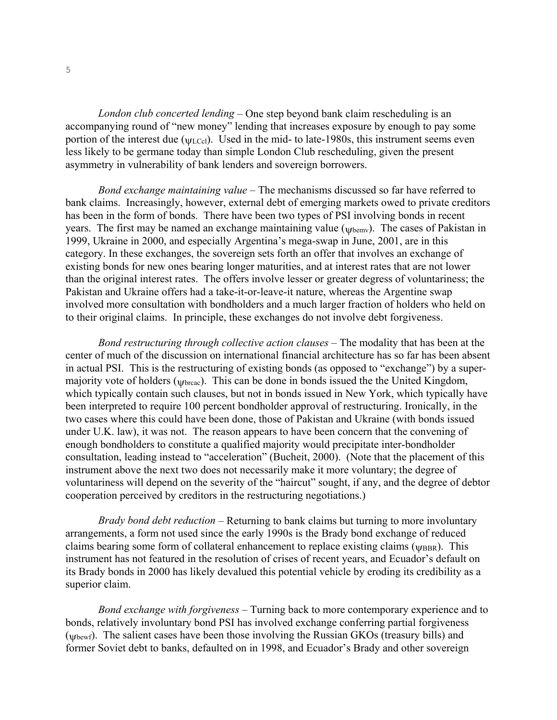*London club concerted lending* – One step beyond bank claim rescheduling is an accompanying round of "new money" lending that increases exposure by enough to pay some portion of the interest due (ψ<sub>LCcl</sub>). Used in the mid- to late-1980s, this instrument seems even less likely to be germane today than simple London Club rescheduling, given the present asymmetry in vulnerability of bank lenders and sovereign borrowers.

*Bond exchange maintaining value –* The mechanisms discussed so far have referred to bank claims. Increasingly, however, external debt of emerging markets owed to private creditors has been in the form of bonds. There have been two types of PSI involving bonds in recent years. The first may be named an exchange maintaining value (ψbemv). The cases of Pakistan in 1999, Ukraine in 2000, and especially Argentina's mega-swap in June, 2001, are in this category. In these exchanges, the sovereign sets forth an offer that involves an exchange of existing bonds for new ones bearing longer maturities, and at interest rates that are not lower than the original interest rates. The offers involve lesser or greater degress of voluntariness; the Pakistan and Ukraine offers had a take-it-or-leave-it nature, whereas the Argentine swap involved more consultation with bondholders and a much larger fraction of holders who held on to their original claims. In principle, these exchanges do not involve debt forgiveness.

*Bond restructuring through collective action clauses* – The modality that has been at the center of much of the discussion on international financial architecture has so far has been absent in actual PSI. This is the restructuring of existing bonds (as opposed to "exchange") by a supermajority vote of holders (ψ<sub>brcac</sub>). This can be done in bonds issued the the United Kingdom, which typically contain such clauses, but not in bonds issued in New York, which typically have been interpreted to require 100 percent bondholder approval of restructuring. Ironically, in the two cases where this could have been done, those of Pakistan and Ukraine (with bonds issued under U.K. law), it was not. The reason appears to have been concern that the convening of enough bondholders to constitute a qualified majority would precipitate inter-bondholder consultation, leading instead to "acceleration" (Bucheit, 2000). (Note that the placement of this instrument above the next two does not necessarily make it more voluntary; the degree of voluntariness will depend on the severity of the "haircut" sought, if any, and the degree of debtor cooperation perceived by creditors in the restructuring negotiations.)

*Brady bond debt reduction* – Returning to bank claims but turning to more involuntary arrangements, a form not used since the early 1990s is the Brady bond exchange of reduced claims bearing some form of collateral enhancement to replace existing claims  $(\mu_{BBR})$ . This instrument has not featured in the resolution of crises of recent years, and Ecuador's default on its Brady bonds in 2000 has likely devalued this potential vehicle by eroding its credibility as a superior claim.

*Bond exchange with forgiveness –* Turning back to more contemporary experience and to bonds, relatively involuntary bond PSI has involved exchange conferring partial forgiveness (ψbewf). The salient cases have been those involving the Russian GKOs (treasury bills) and former Soviet debt to banks, defaulted on in 1998, and Ecuador's Brady and other sovereign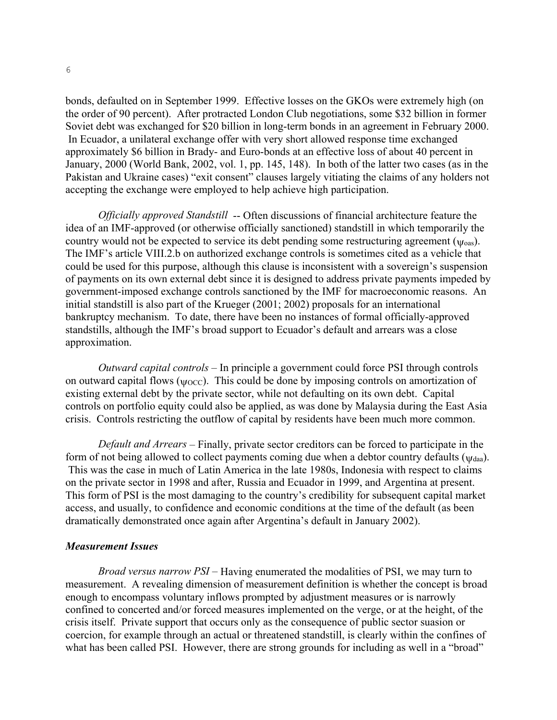bonds, defaulted on in September 1999. Effective losses on the GKOs were extremely high (on the order of 90 percent). After protracted London Club negotiations, some \$32 billion in former Soviet debt was exchanged for \$20 billion in long-term bonds in an agreement in February 2000. In Ecuador, a unilateral exchange offer with very short allowed response time exchanged approximately \$6 billion in Brady- and Euro-bonds at an effective loss of about 40 percent in January, 2000 (World Bank, 2002, vol. 1, pp. 145, 148). In both of the latter two cases (as in the Pakistan and Ukraine cases) "exit consent" clauses largely vitiating the claims of any holders not accepting the exchange were employed to help achieve high participation.

*Officially approved Standstill* -- Often discussions of financial architecture feature the idea of an IMF-approved (or otherwise officially sanctioned) standstill in which temporarily the country would not be expected to service its debt pending some restructuring agreement  $(y_{\text{loss}})$ . The IMF's article VIII.2.b on authorized exchange controls is sometimes cited as a vehicle that could be used for this purpose, although this clause is inconsistent with a sovereign's suspension of payments on its own external debt since it is designed to address private payments impeded by government-imposed exchange controls sanctioned by the IMF for macroeconomic reasons. An initial standstill is also part of the Krueger (2001; 2002) proposals for an international bankruptcy mechanism. To date, there have been no instances of formal officially-approved standstills, although the IMF's broad support to Ecuador's default and arrears was a close approximation.

*Outward capital controls –* In principle a government could force PSI through controls on outward capital flows ( $\psi$ <sub>OCC</sub>). This could be done by imposing controls on amortization of existing external debt by the private sector, while not defaulting on its own debt. Capital controls on portfolio equity could also be applied, as was done by Malaysia during the East Asia crisis. Controls restricting the outflow of capital by residents have been much more common.

*Default and Arrears* – Finally, private sector creditors can be forced to participate in the form of not being allowed to collect payments coming due when a debtor country defaults ( $_{\text{Wdaa}}$ ). This was the case in much of Latin America in the late 1980s, Indonesia with respect to claims on the private sector in 1998 and after, Russia and Ecuador in 1999, and Argentina at present. This form of PSI is the most damaging to the country's credibility for subsequent capital market access, and usually, to confidence and economic conditions at the time of the default (as been dramatically demonstrated once again after Argentina's default in January 2002).

### *Measurement Issues*

*Broad versus narrow PSI –* Having enumerated the modalities of PSI, we may turn to measurement. A revealing dimension of measurement definition is whether the concept is broad enough to encompass voluntary inflows prompted by adjustment measures or is narrowly confined to concerted and/or forced measures implemented on the verge, or at the height, of the crisis itself. Private support that occurs only as the consequence of public sector suasion or coercion, for example through an actual or threatened standstill, is clearly within the confines of what has been called PSI. However, there are strong grounds for including as well in a "broad"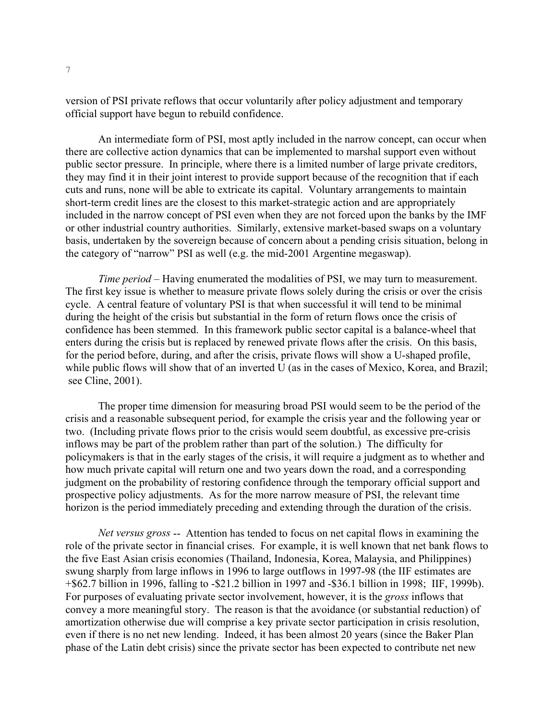version of PSI private reflows that occur voluntarily after policy adjustment and temporary official support have begun to rebuild confidence.

 An intermediate form of PSI, most aptly included in the narrow concept, can occur when there are collective action dynamics that can be implemented to marshal support even without public sector pressure. In principle, where there is a limited number of large private creditors, they may find it in their joint interest to provide support because of the recognition that if each cuts and runs, none will be able to extricate its capital. Voluntary arrangements to maintain short-term credit lines are the closest to this market-strategic action and are appropriately included in the narrow concept of PSI even when they are not forced upon the banks by the IMF or other industrial country authorities. Similarly, extensive market-based swaps on a voluntary basis, undertaken by the sovereign because of concern about a pending crisis situation, belong in the category of "narrow" PSI as well (e.g. the mid-2001 Argentine megaswap).

*Time period* – Having enumerated the modalities of PSI, we may turn to measurement. The first key issue is whether to measure private flows solely during the crisis or over the crisis cycle. A central feature of voluntary PSI is that when successful it will tend to be minimal during the height of the crisis but substantial in the form of return flows once the crisis of confidence has been stemmed. In this framework public sector capital is a balance-wheel that enters during the crisis but is replaced by renewed private flows after the crisis. On this basis, for the period before, during, and after the crisis, private flows will show a U-shaped profile, while public flows will show that of an inverted U (as in the cases of Mexico, Korea, and Brazil; see Cline, 2001).

 The proper time dimension for measuring broad PSI would seem to be the period of the crisis and a reasonable subsequent period, for example the crisis year and the following year or two. (Including private flows prior to the crisis would seem doubtful, as excessive pre-crisis inflows may be part of the problem rather than part of the solution.) The difficulty for policymakers is that in the early stages of the crisis, it will require a judgment as to whether and how much private capital will return one and two years down the road, and a corresponding judgment on the probability of restoring confidence through the temporary official support and prospective policy adjustments. As for the more narrow measure of PSI, the relevant time horizon is the period immediately preceding and extending through the duration of the crisis.

*Net versus gross* -- Attention has tended to focus on net capital flows in examining the role of the private sector in financial crises. For example, it is well known that net bank flows to the five East Asian crisis economies (Thailand, Indonesia, Korea, Malaysia, and Philippines) swung sharply from large inflows in 1996 to large outflows in 1997-98 (the IIF estimates are +\$62.7 billion in 1996, falling to -\$21.2 billion in 1997 and -\$36.1 billion in 1998; IIF, 1999b). For purposes of evaluating private sector involvement, however, it is the *gross* inflows that convey a more meaningful story. The reason is that the avoidance (or substantial reduction) of amortization otherwise due will comprise a key private sector participation in crisis resolution, even if there is no net new lending. Indeed, it has been almost 20 years (since the Baker Plan phase of the Latin debt crisis) since the private sector has been expected to contribute net new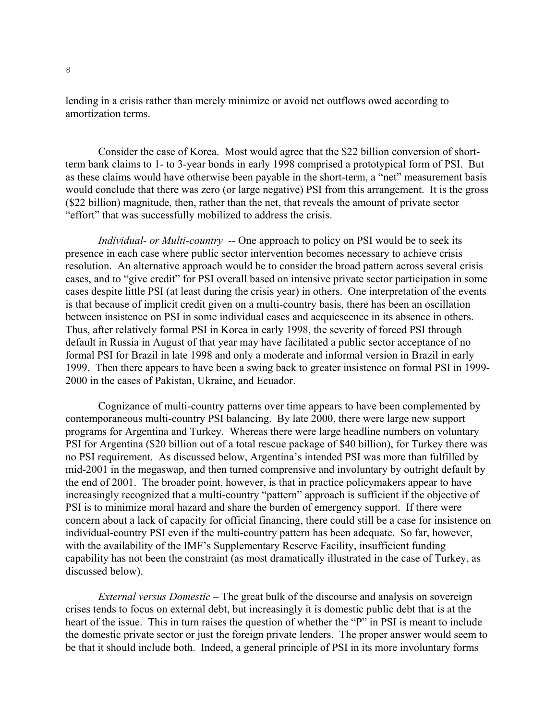lending in a crisis rather than merely minimize or avoid net outflows owed according to amortization terms.

Consider the case of Korea. Most would agree that the \$22 billion conversion of shortterm bank claims to 1- to 3-year bonds in early 1998 comprised a prototypical form of PSI. But as these claims would have otherwise been payable in the short-term, a "net" measurement basis would conclude that there was zero (or large negative) PSI from this arrangement. It is the gross (\$22 billion) magnitude, then, rather than the net, that reveals the amount of private sector "effort" that was successfully mobilized to address the crisis.

*Individual- or Multi-country* -- One approach to policy on PSI would be to seek its presence in each case where public sector intervention becomes necessary to achieve crisis resolution. An alternative approach would be to consider the broad pattern across several crisis cases, and to "give credit" for PSI overall based on intensive private sector participation in some cases despite little PSI (at least during the crisis year) in others. One interpretation of the events is that because of implicit credit given on a multi-country basis, there has been an oscillation between insistence on PSI in some individual cases and acquiescence in its absence in others. Thus, after relatively formal PSI in Korea in early 1998, the severity of forced PSI through default in Russia in August of that year may have facilitated a public sector acceptance of no formal PSI for Brazil in late 1998 and only a moderate and informal version in Brazil in early 1999. Then there appears to have been a swing back to greater insistence on formal PSI in 1999- 2000 in the cases of Pakistan, Ukraine, and Ecuador.

Cognizance of multi-country patterns over time appears to have been complemented by contemporaneous multi-country PSI balancing. By late 2000, there were large new support programs for Argentina and Turkey. Whereas there were large headline numbers on voluntary PSI for Argentina (\$20 billion out of a total rescue package of \$40 billion), for Turkey there was no PSI requirement. As discussed below, Argentina's intended PSI was more than fulfilled by mid-2001 in the megaswap, and then turned comprensive and involuntary by outright default by the end of 2001. The broader point, however, is that in practice policymakers appear to have increasingly recognized that a multi-country "pattern" approach is sufficient if the objective of PSI is to minimize moral hazard and share the burden of emergency support. If there were concern about a lack of capacity for official financing, there could still be a case for insistence on individual-country PSI even if the multi-country pattern has been adequate. So far, however, with the availability of the IMF's Supplementary Reserve Facility, insufficient funding capability has not been the constraint (as most dramatically illustrated in the case of Turkey, as discussed below).

*External versus Domestic* – The great bulk of the discourse and analysis on sovereign crises tends to focus on external debt, but increasingly it is domestic public debt that is at the heart of the issue. This in turn raises the question of whether the "P" in PSI is meant to include the domestic private sector or just the foreign private lenders. The proper answer would seem to be that it should include both. Indeed, a general principle of PSI in its more involuntary forms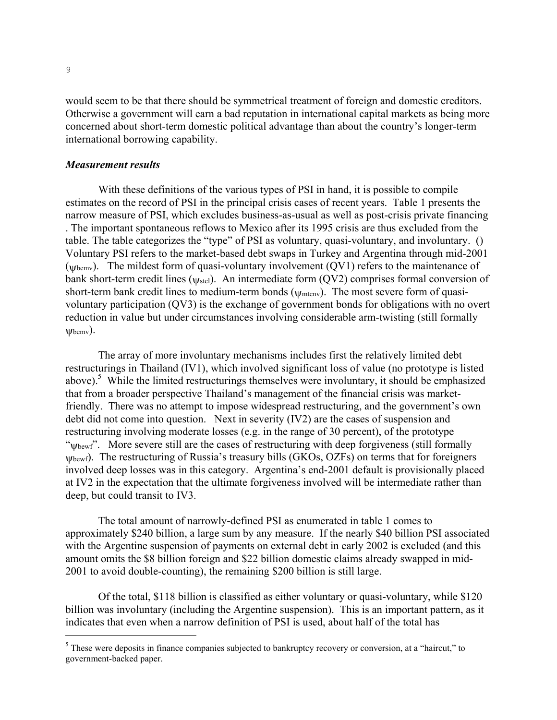would seem to be that there should be symmetrical treatment of foreign and domestic creditors. Otherwise a government will earn a bad reputation in international capital markets as being more concerned about short-term domestic political advantage than about the country's longer-term international borrowing capability.

# *Measurement results*

 With these definitions of the various types of PSI in hand, it is possible to compile estimates on the record of PSI in the principal crisis cases of recent years. Table 1 presents the narrow measure of PSI, which excludes business-as-usual as well as post-crisis private financing . The important spontaneous reflows to Mexico after its 1995 crisis are thus excluded from the table. The table categorizes the "type" of PSI as voluntary, quasi-voluntary, and involuntary. () Voluntary PSI refers to the market-based debt swaps in Turkey and Argentina through mid-2001 ( $v_{\text{bem}}$ ). The mildest form of quasi-voluntary involvement (QV1) refers to the maintenance of bank short-term credit lines ( $y_{stcl}$ ). An intermediate form (QV2) comprises formal conversion of short-term bank credit lines to medium-term bonds  $(y<sub>mtenv</sub>)$ . The most severe form of quasivoluntary participation (QV3) is the exchange of government bonds for obligations with no overt reduction in value but under circumstances involving considerable arm-twisting (still formally  $v_{\text{bemv}}$ ).

 The array of more involuntary mechanisms includes first the relatively limited debt restructurings in Thailand (IV1), which involved significant loss of value (no prototype is listed above).<sup>[5](#page-9-0)</sup> While the limited restructurings themselves were involuntary, it should be emphasized that from a broader perspective Thailand's management of the financial crisis was marketfriendly. There was no attempt to impose widespread restructuring, and the government's own debt did not come into question. Next in severity (IV2) are the cases of suspension and restructuring involving moderate losses (e.g. in the range of 30 percent), of the prototype "<sub>Wbewf</sub>". More severe still are the cases of restructuring with deep forgiveness (still formally ψbewf). The restructuring of Russia's treasury bills (GKOs, OZFs) on terms that for foreigners involved deep losses was in this category. Argentina's end-2001 default is provisionally placed at IV2 in the expectation that the ultimate forgiveness involved will be intermediate rather than deep, but could transit to IV3.

 The total amount of narrowly-defined PSI as enumerated in table 1 comes to approximately \$240 billion, a large sum by any measure. If the nearly \$40 billion PSI associated with the Argentine suspension of payments on external debt in early 2002 is excluded (and this amount omits the \$8 billion foreign and \$22 billion domestic claims already swapped in mid-2001 to avoid double-counting), the remaining \$200 billion is still large.

 Of the total, \$118 billion is classified as either voluntary or quasi-voluntary, while \$120 billion was involuntary (including the Argentine suspension). This is an important pattern, as it indicates that even when a narrow definition of PSI is used, about half of the total has

i<br>I

<span id="page-9-0"></span><sup>&</sup>lt;sup>5</sup> These were deposits in finance companies subjected to bankruptcy recovery or conversion, at a "haircut," to government-backed paper.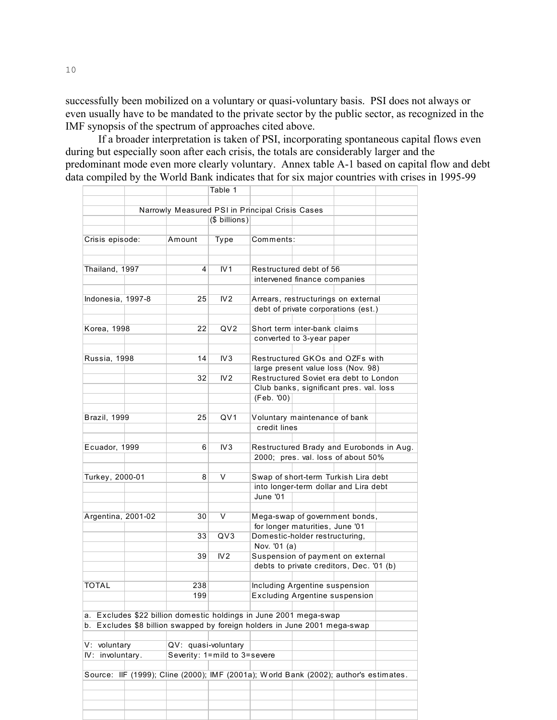successfully been mobilized on a voluntary or quasi-voluntary basis. PSI does not always or even usually have to be mandated to the private sector by the public sector, as recognized in the IMF synopsis of the spectrum of approaches cited above.

If a broader interpretation is taken of PSI, incorporating spontaneous capital flows even during but especially soon after each crisis, the totals are considerably larger and the predominant mode even more clearly voluntary. Annex table A-1 based on capital flow and debt data compiled by the World Bank indicates that for six major countries with crises in 1995-99

|                    |  |                     | Table 1                      |                                                                                       |                                       |                                         |  |
|--------------------|--|---------------------|------------------------------|---------------------------------------------------------------------------------------|---------------------------------------|-----------------------------------------|--|
|                    |  |                     |                              |                                                                                       |                                       |                                         |  |
|                    |  |                     |                              | Narrowly Measured PSI in Principal Crisis Cases                                       |                                       |                                         |  |
|                    |  |                     | (\$ billions)                |                                                                                       |                                       |                                         |  |
|                    |  | Amount              |                              | Comments:                                                                             |                                       |                                         |  |
| Crisis episode:    |  |                     | Type                         |                                                                                       |                                       |                                         |  |
|                    |  |                     |                              |                                                                                       |                                       |                                         |  |
| Thailand, 1997     |  | 4                   | IV1                          |                                                                                       | Restructured debt of 56               |                                         |  |
|                    |  |                     |                              |                                                                                       | intervened finance companies          |                                         |  |
|                    |  |                     |                              |                                                                                       |                                       |                                         |  |
| Indonesia, 1997-8  |  | 25                  | IV <sub>2</sub>              |                                                                                       |                                       | Arrears, restructurings on external     |  |
|                    |  |                     |                              |                                                                                       |                                       | debt of private corporations (est.)     |  |
|                    |  |                     |                              |                                                                                       |                                       |                                         |  |
| Korea, 1998        |  | 22                  | QV2                          |                                                                                       | Short term inter-bank claims          |                                         |  |
|                    |  |                     |                              |                                                                                       | converted to 3-year paper             |                                         |  |
|                    |  |                     |                              |                                                                                       |                                       |                                         |  |
| Russia, 1998       |  | 14                  | IV <sub>3</sub>              | Restructured GKOs and OZFs with                                                       |                                       |                                         |  |
|                    |  |                     |                              |                                                                                       |                                       | large present value loss (Nov. 98)      |  |
|                    |  | 32                  | IV <sub>2</sub>              |                                                                                       |                                       | Restructured Soviet era debt to London  |  |
|                    |  |                     |                              |                                                                                       |                                       | Club banks, significant pres. val. loss |  |
|                    |  |                     |                              | (Feb. '00)                                                                            |                                       |                                         |  |
| Brazil, 1999       |  |                     | QV1                          |                                                                                       | Voluntary maintenance of bank         |                                         |  |
|                    |  | 25                  |                              | credit lines                                                                          |                                       |                                         |  |
|                    |  |                     |                              |                                                                                       |                                       |                                         |  |
| Ecuador, 1999      |  | 6                   | IV3                          | Restructured Brady and Eurobonds in Aug.                                              |                                       |                                         |  |
|                    |  |                     |                              |                                                                                       |                                       | 2000; pres. val. loss of about 50%      |  |
|                    |  |                     |                              |                                                                                       |                                       |                                         |  |
| Turkey, 2000-01    |  | 8                   | V                            |                                                                                       |                                       | Swap of short-term Turkish Lira debt    |  |
|                    |  |                     |                              |                                                                                       |                                       | into longer-term dollar and Lira debt   |  |
|                    |  |                     |                              | June '01                                                                              |                                       |                                         |  |
|                    |  |                     |                              |                                                                                       |                                       |                                         |  |
| Argentina, 2001-02 |  | 30                  | V                            |                                                                                       |                                       | Mega-swap of government bonds,          |  |
|                    |  |                     |                              |                                                                                       | for longer maturities, June '01       |                                         |  |
|                    |  | 33                  | QV3                          |                                                                                       | Domestic-holder restructuring,        |                                         |  |
|                    |  |                     |                              | Nov. '01 (a)                                                                          |                                       |                                         |  |
|                    |  | 39                  | IV <sub>2</sub>              | Suspension of payment on external<br>debts to private creditors, Dec. '01 (b)         |                                       |                                         |  |
|                    |  |                     |                              |                                                                                       |                                       |                                         |  |
|                    |  |                     |                              |                                                                                       |                                       |                                         |  |
| TOTAL              |  | 238                 |                              |                                                                                       | Including Argentine suspension        |                                         |  |
|                    |  | 199                 |                              |                                                                                       | <b>Excluding Argentine suspension</b> |                                         |  |
| а.                 |  |                     |                              | Excludes \$22 billion domestic holdings in June 2001 mega-swap                        |                                       |                                         |  |
|                    |  |                     |                              | b. Excludes \$8 billion swapped by foreign holders in June 2001 mega-swap             |                                       |                                         |  |
|                    |  |                     |                              |                                                                                       |                                       |                                         |  |
| V: voluntary       |  | QV: quasi-voluntary |                              |                                                                                       |                                       |                                         |  |
| IV: involuntary.   |  |                     | Severity: 1=mild to 3=severe |                                                                                       |                                       |                                         |  |
|                    |  |                     |                              |                                                                                       |                                       |                                         |  |
|                    |  |                     |                              | Source: IIF (1999); Cline (2000); IMF (2001a); World Bank (2002); author's estimates. |                                       |                                         |  |
|                    |  |                     |                              |                                                                                       |                                       |                                         |  |
|                    |  |                     |                              |                                                                                       |                                       |                                         |  |
|                    |  |                     |                              |                                                                                       |                                       |                                         |  |
|                    |  |                     |                              |                                                                                       |                                       |                                         |  |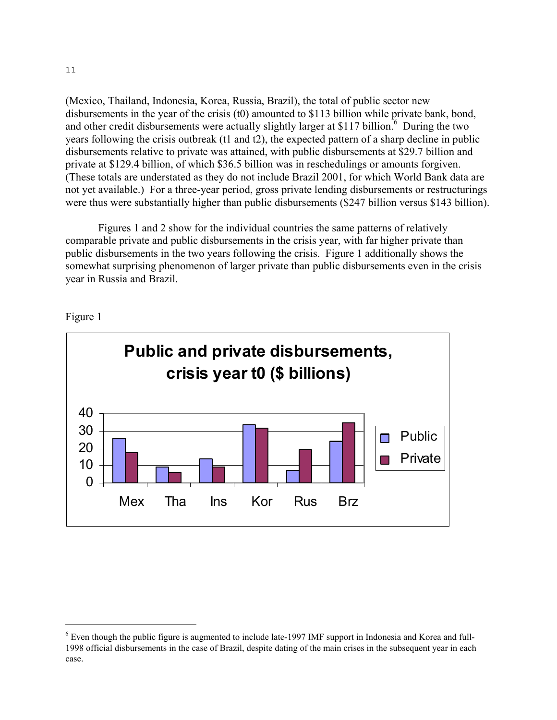(Mexico, Thailand, Indonesia, Korea, Russia, Brazil), the total of public sector new disbursements in the year of the crisis (t0) amounted to \$113 billion while private bank, bond, and other credit disbursements were actually slightly larger at \$117 billion.<sup>[6](#page-11-0)</sup> During the two years following the crisis outbreak (t1 and t2), the expected pattern of a sharp decline in public disbursements relative to private was attained, with public disbursements at \$29.7 billion and private at \$129.4 billion, of which \$36.5 billion was in reschedulings or amounts forgiven. (These totals are understated as they do not include Brazil 2001, for which World Bank data are not yet available.) For a three-year period, gross private lending disbursements or restructurings were thus were substantially higher than public disbursements (\$247 billion versus \$143 billion).

Figures 1 and 2 show for the individual countries the same patterns of relatively comparable private and public disbursements in the crisis year, with far higher private than public disbursements in the two years following the crisis. Figure 1 additionally shows the somewhat surprising phenomenon of larger private than public disbursements even in the crisis year in Russia and Brazil.



Figure 1

i<br>I

<span id="page-11-0"></span> $6$  Even though the public figure is augmented to include late-1997 IMF support in Indonesia and Korea and full-1998 official disbursements in the case of Brazil, despite dating of the main crises in the subsequent year in each case.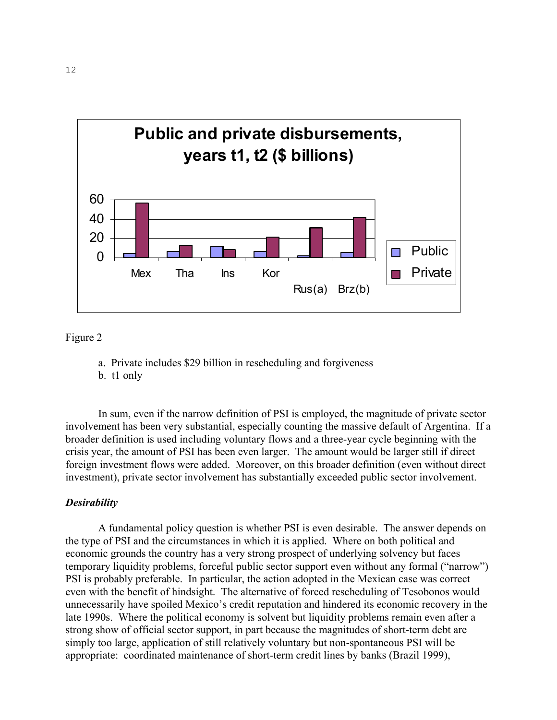

Figure 2

- a. Private includes \$29 billion in rescheduling and forgiveness
- b. t1 only

In sum, even if the narrow definition of PSI is employed, the magnitude of private sector involvement has been very substantial, especially counting the massive default of Argentina. If a broader definition is used including voluntary flows and a three-year cycle beginning with the crisis year, the amount of PSI has been even larger. The amount would be larger still if direct foreign investment flows were added. Moreover, on this broader definition (even without direct investment), private sector involvement has substantially exceeded public sector involvement.

# *Desirability*

A fundamental policy question is whether PSI is even desirable. The answer depends on the type of PSI and the circumstances in which it is applied. Where on both political and economic grounds the country has a very strong prospect of underlying solvency but faces temporary liquidity problems, forceful public sector support even without any formal ("narrow") PSI is probably preferable. In particular, the action adopted in the Mexican case was correct even with the benefit of hindsight. The alternative of forced rescheduling of Tesobonos would unnecessarily have spoiled Mexico's credit reputation and hindered its economic recovery in the late 1990s. Where the political economy is solvent but liquidity problems remain even after a strong show of official sector support, in part because the magnitudes of short-term debt are simply too large, application of still relatively voluntary but non-spontaneous PSI will be appropriate: coordinated maintenance of short-term credit lines by banks (Brazil 1999),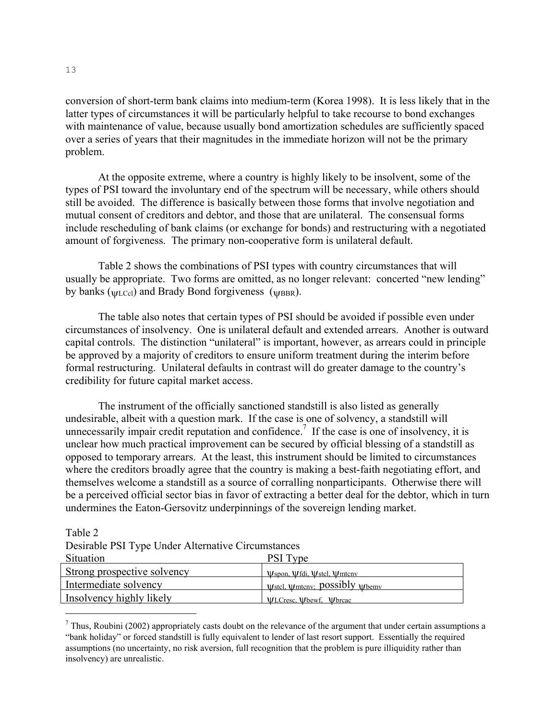conversion of short-term bank claims into medium-term (Korea 1998). It is less likely that in the latter types of circumstances it will be particularly helpful to take recourse to bond exchanges with maintenance of value, because usually bond amortization schedules are sufficiently spaced over a series of years that their magnitudes in the immediate horizon will not be the primary problem.

 At the opposite extreme, where a country is highly likely to be insolvent, some of the types of PSI toward the involuntary end of the spectrum will be necessary, while others should still be avoided. The difference is basically between those forms that involve negotiation and mutual consent of creditors and debtor, and those that are unilateral. The consensual forms include rescheduling of bank claims (or exchange for bonds) and restructuring with a negotiated amount of forgiveness. The primary non-cooperative form is unilateral default.

 Table 2 shows the combinations of PSI types with country circumstances that will usually be appropriate. Two forms are omitted, as no longer relevant: concerted "new lending" by banks  $(y_{\text{ILCc}})$  and Brady Bond forgiveness  $(y_{\text{BBR}})$ .

 The table also notes that certain types of PSI should be avoided if possible even under circumstances of insolvency. One is unilateral default and extended arrears. Another is outward capital controls. The distinction "unilateral" is important, however, as arrears could in principle be approved by a majority of creditors to ensure uniform treatment during the interim before formal restructuring. Unilateral defaults in contrast will do greater damage to the country's credibility for future capital market access.

 The instrument of the officially sanctioned standstill is also listed as generally undesirable, albeit with a question mark. If the case is one of solvency, a standstill will unnecessarily impair credit reputation and confidence.<sup>7</sup> If the case is one of insolvency, it is unclear how much practical improvement can be secured by official blessing of a standstill as opposed to temporary arrears. At the least, this instrument should be limited to circumstances where the creditors broadly agree that the country is making a best-faith negotiating effort, and themselves welcome a standstill as a source of corralling nonparticipants. Otherwise there will be a perceived official sector bias in favor of extracting a better deal for the debtor, which in turn undermines the Eaton-Gersovitz underpinnings of the sovereign lending market.

i<br>I

Desirable PSI Type Under Alternative Circumstances

| Situation                   | PSI Type                                                               |
|-----------------------------|------------------------------------------------------------------------|
| Strong prospective solvency | <i><u><b>Uspon.</b> Ufdi. Wstel. Ufmteny</u></i>                       |
| Intermediate solvency       | <i>V<sub>stel</sub></i> , <i>Wmteny</i> ; <i>possibly <i>Whemy</i></i> |
| Insolvency highly likely    | <b>WLCresc. Whewf. Whreac</b>                                          |
|                             |                                                                        |

<span id="page-13-0"></span> $^7$  Thus, Roubini (2002) appropriately casts doubt on the relevance of the argument that under certain assumptions a "bank holiday" or forced standstill is fully equivalent to lender of last resort support. Essentially the required assumptions (no uncertainty, no risk aversion, full recognition that the problem is pure illiquidity rather than insolvency) are unrealistic.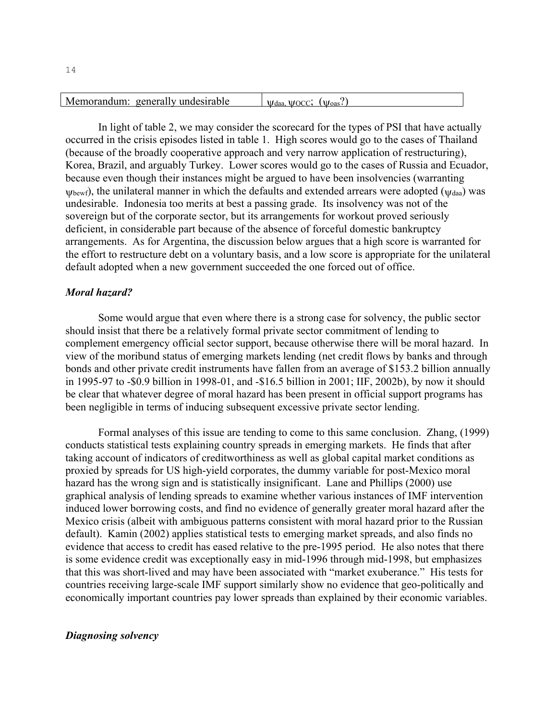| Memorandum: | generally undesirable | MOCC<br>U <sub>daa</sub><br><b>Woas</b> |
|-------------|-----------------------|-----------------------------------------|
|             |                       |                                         |

 In light of table 2, we may consider the scorecard for the types of PSI that have actually occurred in the crisis episodes listed in table 1. High scores would go to the cases of Thailand (because of the broadly cooperative approach and very narrow application of restructuring), Korea, Brazil, and arguably Turkey. Lower scores would go to the cases of Russia and Ecuador, because even though their instances might be argued to have been insolvencies (warranting  $y_{\text{flowf}}$ ), the unilateral manner in which the defaults and extended arrears were adopted ( $y_{\text{data}}$ ) was undesirable. Indonesia too merits at best a passing grade. Its insolvency was not of the sovereign but of the corporate sector, but its arrangements for workout proved seriously deficient, in considerable part because of the absence of forceful domestic bankruptcy arrangements. As for Argentina, the discussion below argues that a high score is warranted for the effort to restructure debt on a voluntary basis, and a low score is appropriate for the unilateral default adopted when a new government succeeded the one forced out of office.

### *Moral hazard?*

 Some would argue that even where there is a strong case for solvency, the public sector should insist that there be a relatively formal private sector commitment of lending to complement emergency official sector support, because otherwise there will be moral hazard. In view of the moribund status of emerging markets lending (net credit flows by banks and through bonds and other private credit instruments have fallen from an average of \$153.2 billion annually in 1995-97 to -\$0.9 billion in 1998-01, and -\$16.5 billion in 2001; IIF, 2002b), by now it should be clear that whatever degree of moral hazard has been present in official support programs has been negligible in terms of inducing subsequent excessive private sector lending.

 Formal analyses of this issue are tending to come to this same conclusion. Zhang, (1999) conducts statistical tests explaining country spreads in emerging markets. He finds that after taking account of indicators of creditworthiness as well as global capital market conditions as proxied by spreads for US high-yield corporates, the dummy variable for post-Mexico moral hazard has the wrong sign and is statistically insignificant. Lane and Phillips (2000) use graphical analysis of lending spreads to examine whether various instances of IMF intervention induced lower borrowing costs, and find no evidence of generally greater moral hazard after the Mexico crisis (albeit with ambiguous patterns consistent with moral hazard prior to the Russian default). Kamin (2002) applies statistical tests to emerging market spreads, and also finds no evidence that access to credit has eased relative to the pre-1995 period. He also notes that there is some evidence credit was exceptionally easy in mid-1996 through mid-1998, but emphasizes that this was short-lived and may have been associated with "market exuberance." His tests for countries receiving large-scale IMF support similarly show no evidence that geo-politically and economically important countries pay lower spreads than explained by their economic variables.

# *Diagnosing solvency*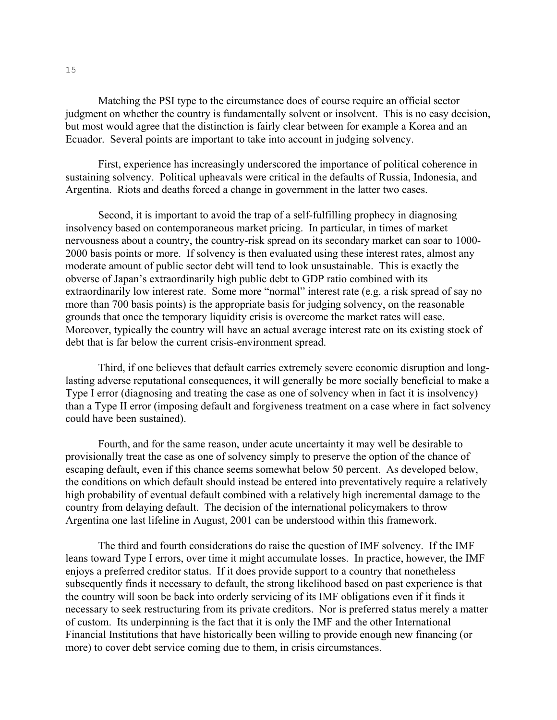Matching the PSI type to the circumstance does of course require an official sector judgment on whether the country is fundamentally solvent or insolvent. This is no easy decision, but most would agree that the distinction is fairly clear between for example a Korea and an Ecuador. Several points are important to take into account in judging solvency.

 First, experience has increasingly underscored the importance of political coherence in sustaining solvency. Political upheavals were critical in the defaults of Russia, Indonesia, and Argentina. Riots and deaths forced a change in government in the latter two cases.

 Second, it is important to avoid the trap of a self-fulfilling prophecy in diagnosing insolvency based on contemporaneous market pricing. In particular, in times of market nervousness about a country, the country-risk spread on its secondary market can soar to 1000- 2000 basis points or more. If solvency is then evaluated using these interest rates, almost any moderate amount of public sector debt will tend to look unsustainable. This is exactly the obverse of Japan's extraordinarily high public debt to GDP ratio combined with its extraordinarily low interest rate. Some more "normal" interest rate (e.g. a risk spread of say no more than 700 basis points) is the appropriate basis for judging solvency, on the reasonable grounds that once the temporary liquidity crisis is overcome the market rates will ease. Moreover, typically the country will have an actual average interest rate on its existing stock of debt that is far below the current crisis-environment spread.

 Third, if one believes that default carries extremely severe economic disruption and longlasting adverse reputational consequences, it will generally be more socially beneficial to make a Type I error (diagnosing and treating the case as one of solvency when in fact it is insolvency) than a Type II error (imposing default and forgiveness treatment on a case where in fact solvency could have been sustained).

 Fourth, and for the same reason, under acute uncertainty it may well be desirable to provisionally treat the case as one of solvency simply to preserve the option of the chance of escaping default, even if this chance seems somewhat below 50 percent. As developed below, the conditions on which default should instead be entered into preventatively require a relatively high probability of eventual default combined with a relatively high incremental damage to the country from delaying default. The decision of the international policymakers to throw Argentina one last lifeline in August, 2001 can be understood within this framework.

 The third and fourth considerations do raise the question of IMF solvency. If the IMF leans toward Type I errors, over time it might accumulate losses. In practice, however, the IMF enjoys a preferred creditor status. If it does provide support to a country that nonetheless subsequently finds it necessary to default, the strong likelihood based on past experience is that the country will soon be back into orderly servicing of its IMF obligations even if it finds it necessary to seek restructuring from its private creditors. Nor is preferred status merely a matter of custom. Its underpinning is the fact that it is only the IMF and the other International Financial Institutions that have historically been willing to provide enough new financing (or more) to cover debt service coming due to them, in crisis circumstances.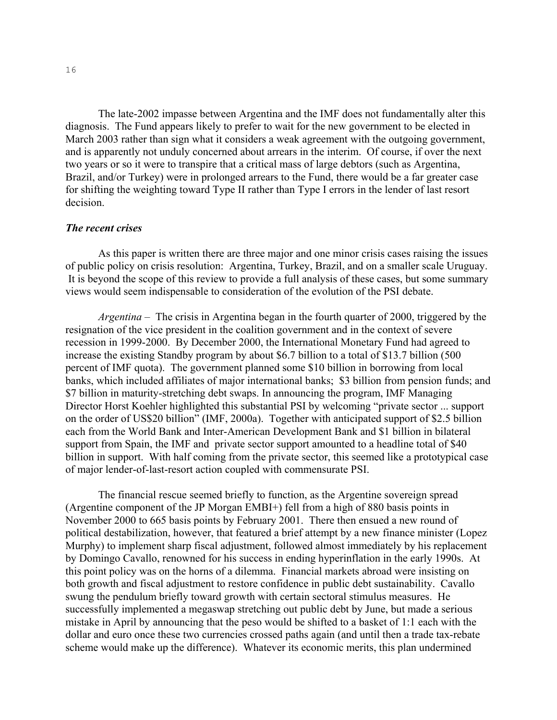The late-2002 impasse between Argentina and the IMF does not fundamentally alter this diagnosis. The Fund appears likely to prefer to wait for the new government to be elected in March 2003 rather than sign what it considers a weak agreement with the outgoing government, and is apparently not unduly concerned about arrears in the interim. Of course, if over the next two years or so it were to transpire that a critical mass of large debtors (such as Argentina, Brazil, and/or Turkey) were in prolonged arrears to the Fund, there would be a far greater case for shifting the weighting toward Type II rather than Type I errors in the lender of last resort decision.

#### *The recent crises*

 As this paper is written there are three major and one minor crisis cases raising the issues of public policy on crisis resolution: Argentina, Turkey, Brazil, and on a smaller scale Uruguay. It is beyond the scope of this review to provide a full analysis of these cases, but some summary views would seem indispensable to consideration of the evolution of the PSI debate.

*Argentina –* The crisis in Argentina began in the fourth quarter of 2000, triggered by the resignation of the vice president in the coalition government and in the context of severe recession in 1999-2000. By December 2000, the International Monetary Fund had agreed to increase the existing Standby program by about \$6.7 billion to a total of \$13.7 billion (500 percent of IMF quota). The government planned some \$10 billion in borrowing from local banks, which included affiliates of major international banks; \$3 billion from pension funds; and \$7 billion in maturity-stretching debt swaps. In announcing the program, IMF Managing Director Horst Koehler highlighted this substantial PSI by welcoming "private sector ... support on the order of US\$20 billion" (IMF, 2000a). Together with anticipated support of \$2.5 billion each from the World Bank and Inter-American Development Bank and \$1 billion in bilateral support from Spain, the IMF and private sector support amounted to a headline total of \$40 billion in support. With half coming from the private sector, this seemed like a prototypical case of major lender-of-last-resort action coupled with commensurate PSI.

 The financial rescue seemed briefly to function, as the Argentine sovereign spread (Argentine component of the JP Morgan EMBI+) fell from a high of 880 basis points in November 2000 to 665 basis points by February 2001. There then ensued a new round of political destabilization, however, that featured a brief attempt by a new finance minister (Lopez Murphy) to implement sharp fiscal adjustment, followed almost immediately by his replacement by Domingo Cavallo, renowned for his success in ending hyperinflation in the early 1990s. At this point policy was on the horns of a dilemma. Financial markets abroad were insisting on both growth and fiscal adjustment to restore confidence in public debt sustainability. Cavallo swung the pendulum briefly toward growth with certain sectoral stimulus measures. He successfully implemented a megaswap stretching out public debt by June, but made a serious mistake in April by announcing that the peso would be shifted to a basket of 1:1 each with the dollar and euro once these two currencies crossed paths again (and until then a trade tax-rebate scheme would make up the difference). Whatever its economic merits, this plan undermined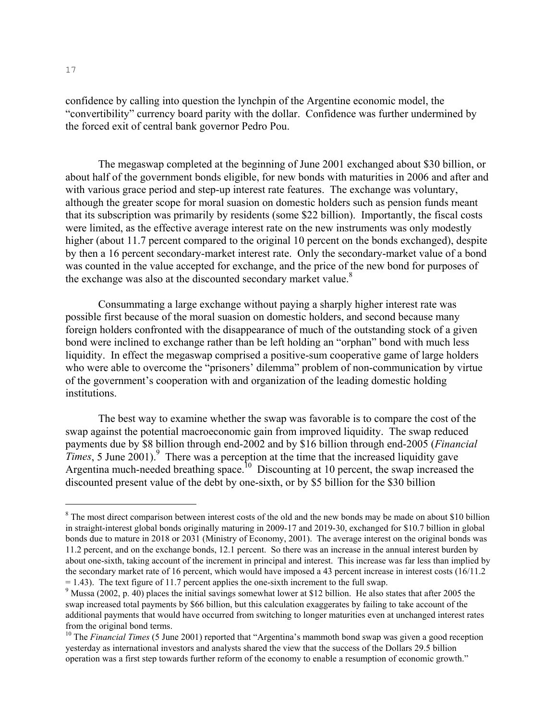confidence by calling into question the lynchpin of the Argentine economic model, the "convertibility" currency board parity with the dollar. Confidence was further undermined by the forced exit of central bank governor Pedro Pou.

 The megaswap completed at the beginning of June 2001 exchanged about \$30 billion, or about half of the government bonds eligible, for new bonds with maturities in 2006 and after and with various grace period and step-up interest rate features. The exchange was voluntary, although the greater scope for moral suasion on domestic holders such as pension funds meant that its subscription was primarily by residents (some \$22 billion). Importantly, the fiscal costs were limited, as the effective average interest rate on the new instruments was only modestly higher (about 11.7 percent compared to the original 10 percent on the bonds exchanged), despite by then a 16 percent secondary-market interest rate. Only the secondary-market value of a bond was counted in the value accepted for exchange, and the price of the new bond for purposes of the exchange was also at the discounted secondary market value. $8$ 

 Consummating a large exchange without paying a sharply higher interest rate was possible first because of the moral suasion on domestic holders, and second because many foreign holders confronted with the disappearance of much of the outstanding stock of a given bond were inclined to exchange rather than be left holding an "orphan" bond with much less liquidity. In effect the megaswap comprised a positive-sum cooperative game of large holders who were able to overcome the "prisoners' dilemma" problem of non-communication by virtue of the government's cooperation with and organization of the leading domestic holding institutions.

 The best way to examine whether the swap was favorable is to compare the cost of the swap against the potential macroeconomic gain from improved liquidity. The swap reduced payments due by \$8 billion through end-2002 and by \$16 billion through end-2005 (*Financial Times*, 5 June 2001).<sup>[9](#page-17-1)</sup> There was a perception at the time that the increased liquidity gave Argentina much-needed breathing space.<sup>10</sup> Discounting at [10](#page-17-2) percent, the swap increased the discounted present value of the debt by one-sixth, or by \$5 billion for the \$30 billion

 $\overline{\phantom{0}}$ 

<span id="page-17-0"></span> $8$  The most direct comparison between interest costs of the old and the new bonds may be made on about \$10 billion in straight-interest global bonds originally maturing in 2009-17 and 2019-30, exchanged for \$10.7 billion in global bonds due to mature in 2018 or 2031 (Ministry of Economy, 2001). The average interest on the original bonds was 11.2 percent, and on the exchange bonds, 12.1 percent. So there was an increase in the annual interest burden by about one-sixth, taking account of the increment in principal and interest. This increase was far less than implied by the secondary market rate of 16 percent, which would have imposed a 43 percent increase in interest costs (16/11.2  $= 1.43$ ). The text figure of 11.7 percent applies the one-sixth increment to the full swap.

<span id="page-17-1"></span> $9$  Mussa (2002, p. 40) places the initial savings somewhat lower at \$12 billion. He also states that after 2005 the swap increased total payments by \$66 billion, but this calculation exaggerates by failing to take account of the additional payments that would have occurred from switching to longer maturities even at unchanged interest rates from the original bond terms.

<span id="page-17-2"></span><sup>10</sup> The *Financial Times* (5 June 2001) reported that "Argentina's mammoth bond swap was given a good reception yesterday as international investors and analysts shared the view that the success of the Dollars 29.5 billion operation was a first step towards further reform of the economy to enable a resumption of economic growth."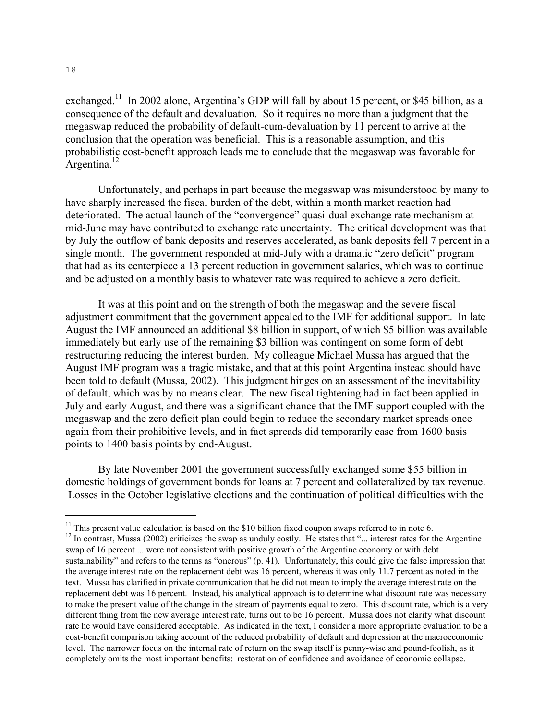exchanged.<sup>11</sup> In 2002 alone, Argentina's GDP will fall by about 15 percent, or \$45 billion, as a consequence of the default and devaluation. So it requires no more than a judgment that the megaswap reduced the probability of default-cum-devaluation by 11 percent to arrive at the conclusion that the operation was beneficial. This is a reasonable assumption, and this probabilistic cost-benefit approach leads me to conclude that the megaswap was favorable for Argentina.<sup>12</sup>

 Unfortunately, and perhaps in part because the megaswap was misunderstood by many to have sharply increased the fiscal burden of the debt, within a month market reaction had deteriorated. The actual launch of the "convergence" quasi-dual exchange rate mechanism at mid-June may have contributed to exchange rate uncertainty. The critical development was that by July the outflow of bank deposits and reserves accelerated, as bank deposits fell 7 percent in a single month. The government responded at mid-July with a dramatic "zero deficit" program that had as its centerpiece a 13 percent reduction in government salaries, which was to continue and be adjusted on a monthly basis to whatever rate was required to achieve a zero deficit.

 It was at this point and on the strength of both the megaswap and the severe fiscal adjustment commitment that the government appealed to the IMF for additional support. In late August the IMF announced an additional \$8 billion in support, of which \$5 billion was available immediately but early use of the remaining \$3 billion was contingent on some form of debt restructuring reducing the interest burden. My colleague Michael Mussa has argued that the August IMF program was a tragic mistake, and that at this point Argentina instead should have been told to default (Mussa, 2002). This judgment hinges on an assessment of the inevitability of default, which was by no means clear. The new fiscal tightening had in fact been applied in July and early August, and there was a significant chance that the IMF support coupled with the megaswap and the zero deficit plan could begin to reduce the secondary market spreads once again from their prohibitive levels, and in fact spreads did temporarily ease from 1600 basis points to 1400 basis points by end-August.

 By late November 2001 the government successfully exchanged some \$55 billion in domestic holdings of government bonds for loans at 7 percent and collateralized by tax revenue. Losses in the October legislative elections and the continuation of political difficulties with the

<span id="page-18-0"></span> $11$  This present value calculation is based on the \$10 billion fixed coupon swaps referred to in note 6.

<span id="page-18-1"></span> $12$  In contrast, Mussa (2002) criticizes the swap as unduly costly. He states that "... interest rates for the Argentine swap of 16 percent ... were not consistent with positive growth of the Argentine economy or with debt sustainability" and refers to the terms as "onerous" (p. 41). Unfortunately, this could give the false impression that the average interest rate on the replacement debt was 16 percent, whereas it was only 11.7 percent as noted in the text. Mussa has clarified in private communication that he did not mean to imply the average interest rate on the replacement debt was 16 percent. Instead, his analytical approach is to determine what discount rate was necessary to make the present value of the change in the stream of payments equal to zero. This discount rate, which is a very different thing from the new average interest rate, turns out to be 16 percent. Mussa does not clarify what discount rate he would have considered acceptable. As indicated in the text, I consider a more appropriate evaluation to be a cost-benefit comparison taking account of the reduced probability of default and depression at the macroeconomic level. The narrower focus on the internal rate of return on the swap itself is penny-wise and pound-foolish, as it completely omits the most important benefits: restoration of confidence and avoidance of economic collapse.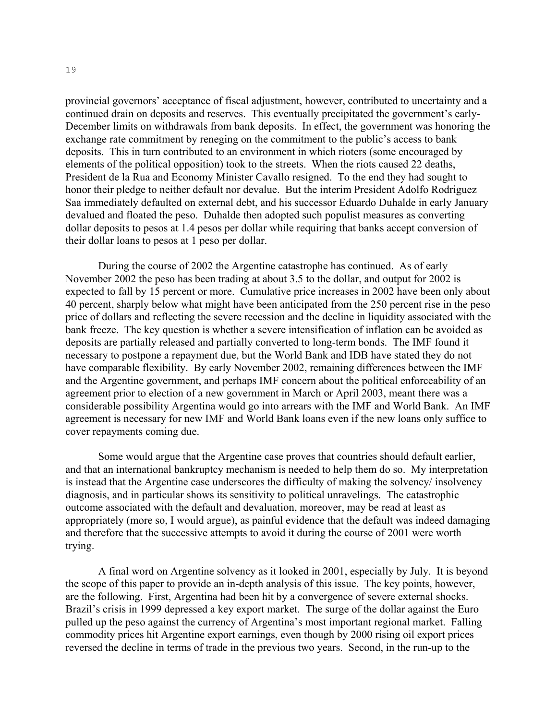provincial governors' acceptance of fiscal adjustment, however, contributed to uncertainty and a continued drain on deposits and reserves. This eventually precipitated the government's early-December limits on withdrawals from bank deposits. In effect, the government was honoring the exchange rate commitment by reneging on the commitment to the public's access to bank deposits. This in turn contributed to an environment in which rioters (some encouraged by elements of the political opposition) took to the streets. When the riots caused 22 deaths, President de la Rua and Economy Minister Cavallo resigned. To the end they had sought to honor their pledge to neither default nor devalue. But the interim President Adolfo Rodriguez Saa immediately defaulted on external debt, and his successor Eduardo Duhalde in early January devalued and floated the peso. Duhalde then adopted such populist measures as converting dollar deposits to pesos at 1.4 pesos per dollar while requiring that banks accept conversion of their dollar loans to pesos at 1 peso per dollar.

 During the course of 2002 the Argentine catastrophe has continued. As of early November 2002 the peso has been trading at about 3.5 to the dollar, and output for 2002 is expected to fall by 15 percent or more. Cumulative price increases in 2002 have been only about 40 percent, sharply below what might have been anticipated from the 250 percent rise in the peso price of dollars and reflecting the severe recession and the decline in liquidity associated with the bank freeze. The key question is whether a severe intensification of inflation can be avoided as deposits are partially released and partially converted to long-term bonds. The IMF found it necessary to postpone a repayment due, but the World Bank and IDB have stated they do not have comparable flexibility. By early November 2002, remaining differences between the IMF and the Argentine government, and perhaps IMF concern about the political enforceability of an agreement prior to election of a new government in March or April 2003, meant there was a considerable possibility Argentina would go into arrears with the IMF and World Bank. An IMF agreement is necessary for new IMF and World Bank loans even if the new loans only suffice to cover repayments coming due.

 Some would argue that the Argentine case proves that countries should default earlier, and that an international bankruptcy mechanism is needed to help them do so. My interpretation is instead that the Argentine case underscores the difficulty of making the solvency/ insolvency diagnosis, and in particular shows its sensitivity to political unravelings. The catastrophic outcome associated with the default and devaluation, moreover, may be read at least as appropriately (more so, I would argue), as painful evidence that the default was indeed damaging and therefore that the successive attempts to avoid it during the course of 2001 were worth trying.

 A final word on Argentine solvency as it looked in 2001, especially by July. It is beyond the scope of this paper to provide an in-depth analysis of this issue. The key points, however, are the following. First, Argentina had been hit by a convergence of severe external shocks. Brazil's crisis in 1999 depressed a key export market. The surge of the dollar against the Euro pulled up the peso against the currency of Argentina's most important regional market. Falling commodity prices hit Argentine export earnings, even though by 2000 rising oil export prices reversed the decline in terms of trade in the previous two years. Second, in the run-up to the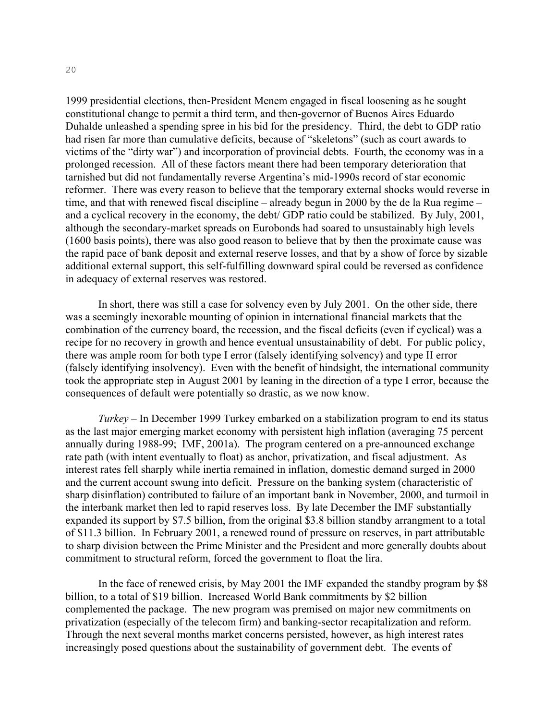1999 presidential elections, then-President Menem engaged in fiscal loosening as he sought constitutional change to permit a third term, and then-governor of Buenos Aires Eduardo Duhalde unleashed a spending spree in his bid for the presidency. Third, the debt to GDP ratio had risen far more than cumulative deficits, because of "skeletons" (such as court awards to victims of the "dirty war") and incorporation of provincial debts. Fourth, the economy was in a prolonged recession. All of these factors meant there had been temporary deterioration that tarnished but did not fundamentally reverse Argentina's mid-1990s record of star economic reformer. There was every reason to believe that the temporary external shocks would reverse in time, and that with renewed fiscal discipline – already begun in 2000 by the de la Rua regime – and a cyclical recovery in the economy, the debt/ GDP ratio could be stabilized. By July, 2001, although the secondary-market spreads on Eurobonds had soared to unsustainably high levels (1600 basis points), there was also good reason to believe that by then the proximate cause was the rapid pace of bank deposit and external reserve losses, and that by a show of force by sizable additional external support, this self-fulfilling downward spiral could be reversed as confidence in adequacy of external reserves was restored.

 In short, there was still a case for solvency even by July 2001. On the other side, there was a seemingly inexorable mounting of opinion in international financial markets that the combination of the currency board, the recession, and the fiscal deficits (even if cyclical) was a recipe for no recovery in growth and hence eventual unsustainability of debt. For public policy, there was ample room for both type I error (falsely identifying solvency) and type II error (falsely identifying insolvency). Even with the benefit of hindsight, the international community took the appropriate step in August 2001 by leaning in the direction of a type I error, because the consequences of default were potentially so drastic, as we now know.

*Turkey –* In December 1999 Turkey embarked on a stabilization program to end its status as the last major emerging market economy with persistent high inflation (averaging 75 percent annually during 1988-99; IMF, 2001a). The program centered on a pre-announced exchange rate path (with intent eventually to float) as anchor, privatization, and fiscal adjustment. As interest rates fell sharply while inertia remained in inflation, domestic demand surged in 2000 and the current account swung into deficit. Pressure on the banking system (characteristic of sharp disinflation) contributed to failure of an important bank in November, 2000, and turmoil in the interbank market then led to rapid reserves loss. By late December the IMF substantially expanded its support by \$7.5 billion, from the original \$3.8 billion standby arrangment to a total of \$11.3 billion. In February 2001, a renewed round of pressure on reserves, in part attributable to sharp division between the Prime Minister and the President and more generally doubts about commitment to structural reform, forced the government to float the lira.

 In the face of renewed crisis, by May 2001 the IMF expanded the standby program by \$8 billion, to a total of \$19 billion. Increased World Bank commitments by \$2 billion complemented the package. The new program was premised on major new commitments on privatization (especially of the telecom firm) and banking-sector recapitalization and reform. Through the next several months market concerns persisted, however, as high interest rates increasingly posed questions about the sustainability of government debt. The events of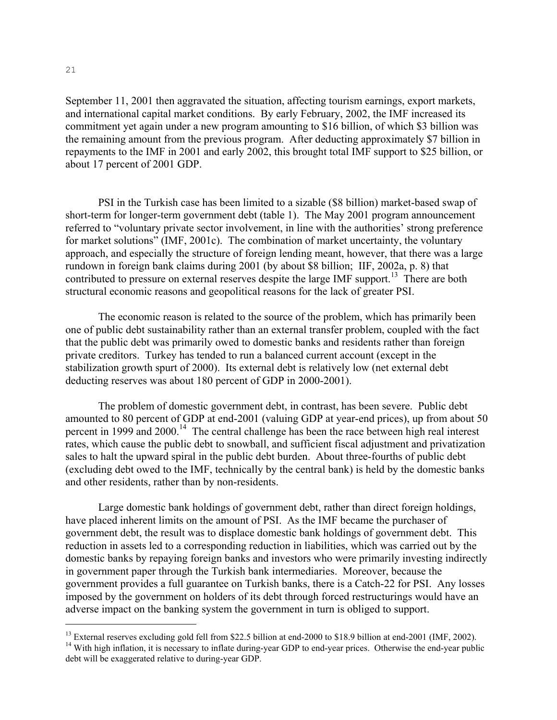September 11, 2001 then aggravated the situation, affecting tourism earnings, export markets, and international capital market conditions. By early February, 2002, the IMF increased its commitment yet again under a new program amounting to \$16 billion, of which \$3 billion was the remaining amount from the previous program. After deducting approximately \$7 billion in repayments to the IMF in 2001 and early 2002, this brought total IMF support to \$25 billion, or about 17 percent of 2001 GDP.

 PSI in the Turkish case has been limited to a sizable (\$8 billion) market-based swap of short-term for longer-term government debt (table 1). The May 2001 program announcement referred to "voluntary private sector involvement, in line with the authorities' strong preference for market solutions" (IMF, 2001c). The combination of market uncertainty, the voluntary approach, and especially the structure of foreign lending meant, however, that there was a large rundown in foreign bank claims during 2001 (by about \$8 billion; IIF, 2002a, p. 8) that contributed to pressure on external reserves despite the large IMF support.<sup>13</sup> There are both structural economic reasons and geopolitical reasons for the lack of greater PSI.

 The economic reason is related to the source of the problem, which has primarily been one of public debt sustainability rather than an external transfer problem, coupled with the fact that the public debt was primarily owed to domestic banks and residents rather than foreign private creditors. Turkey has tended to run a balanced current account (except in the stabilization growth spurt of 2000). Its external debt is relatively low (net external debt deducting reserves was about 180 percent of GDP in 2000-2001).

 The problem of domestic government debt, in contrast, has been severe. Public debt amounted to 80 percent of GDP at end-2001 (valuing GDP at year-end prices), up from about 50 percent in 1999 and 2000.<sup>14</sup> The central challenge has been the race between high real interest rates, which cause the public debt to snowball, and sufficient fiscal adjustment and privatization sales to halt the upward spiral in the public debt burden. About three-fourths of public debt (excluding debt owed to the IMF, technically by the central bank) is held by the domestic banks and other residents, rather than by non-residents.

 Large domestic bank holdings of government debt, rather than direct foreign holdings, have placed inherent limits on the amount of PSI. As the IMF became the purchaser of government debt, the result was to displace domestic bank holdings of government debt. This reduction in assets led to a corresponding reduction in liabilities, which was carried out by the domestic banks by repaying foreign banks and investors who were primarily investing indirectly in government paper through the Turkish bank intermediaries. Moreover, because the government provides a full guarantee on Turkish banks, there is a Catch-22 for PSI. Any losses imposed by the government on holders of its debt through forced restructurings would have an adverse impact on the banking system the government in turn is obliged to support.

i<br>I

<span id="page-21-0"></span><sup>&</sup>lt;sup>13</sup> External reserves excluding gold fell from \$22.5 billion at end-2000 to \$18.9 billion at end-2001 (IMF, 2002).<br><sup>14</sup> With high inflation, it is necessary to inflate during-year GDP to end-year prices. Otherwise the en

<span id="page-21-1"></span>debt will be exaggerated relative to during-year GDP.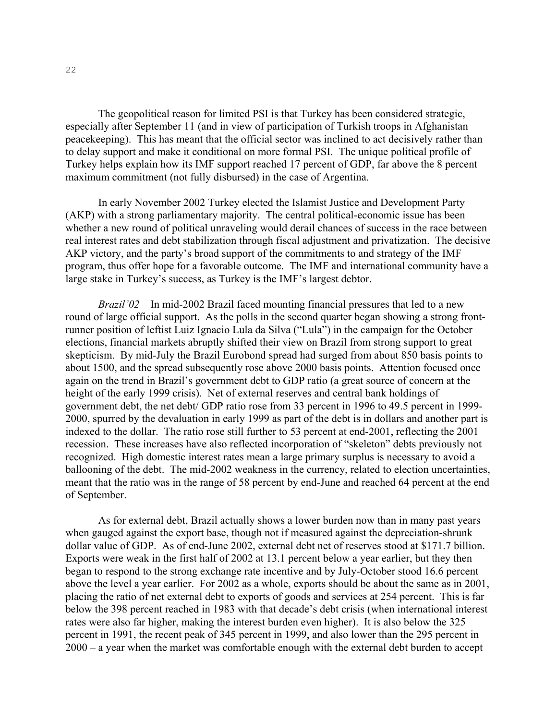The geopolitical reason for limited PSI is that Turkey has been considered strategic, especially after September 11 (and in view of participation of Turkish troops in Afghanistan peacekeeping). This has meant that the official sector was inclined to act decisively rather than to delay support and make it conditional on more formal PSI. The unique political profile of Turkey helps explain how its IMF support reached 17 percent of GDP, far above the 8 percent maximum commitment (not fully disbursed) in the case of Argentina.

 In early November 2002 Turkey elected the Islamist Justice and Development Party (AKP) with a strong parliamentary majority. The central political-economic issue has been whether a new round of political unraveling would derail chances of success in the race between real interest rates and debt stabilization through fiscal adjustment and privatization. The decisive AKP victory, and the party's broad support of the commitments to and strategy of the IMF program, thus offer hope for a favorable outcome. The IMF and international community have a large stake in Turkey's success, as Turkey is the IMF's largest debtor.

*Brazil'02 –* In mid-2002 Brazil faced mounting financial pressures that led to a new round of large official support. As the polls in the second quarter began showing a strong frontrunner position of leftist Luiz Ignacio Lula da Silva ("Lula") in the campaign for the October elections, financial markets abruptly shifted their view on Brazil from strong support to great skepticism. By mid-July the Brazil Eurobond spread had surged from about 850 basis points to about 1500, and the spread subsequently rose above 2000 basis points. Attention focused once again on the trend in Brazil's government debt to GDP ratio (a great source of concern at the height of the early 1999 crisis). Net of external reserves and central bank holdings of government debt, the net debt/ GDP ratio rose from 33 percent in 1996 to 49.5 percent in 1999- 2000, spurred by the devaluation in early 1999 as part of the debt is in dollars and another part is indexed to the dollar. The ratio rose still further to 53 percent at end-2001, reflecting the 2001 recession. These increases have also reflected incorporation of "skeleton" debts previously not recognized. High domestic interest rates mean a large primary surplus is necessary to avoid a ballooning of the debt. The mid-2002 weakness in the currency, related to election uncertainties, meant that the ratio was in the range of 58 percent by end-June and reached 64 percent at the end of September.

 As for external debt, Brazil actually shows a lower burden now than in many past years when gauged against the export base, though not if measured against the depreciation-shrunk dollar value of GDP. As of end-June 2002, external debt net of reserves stood at \$171.7 billion. Exports were weak in the first half of 2002 at 13.1 percent below a year earlier, but they then began to respond to the strong exchange rate incentive and by July-October stood 16.6 percent above the level a year earlier. For 2002 as a whole, exports should be about the same as in 2001, placing the ratio of net external debt to exports of goods and services at 254 percent. This is far below the 398 percent reached in 1983 with that decade's debt crisis (when international interest rates were also far higher, making the interest burden even higher). It is also below the 325 percent in 1991, the recent peak of 345 percent in 1999, and also lower than the 295 percent in 2000 – a year when the market was comfortable enough with the external debt burden to accept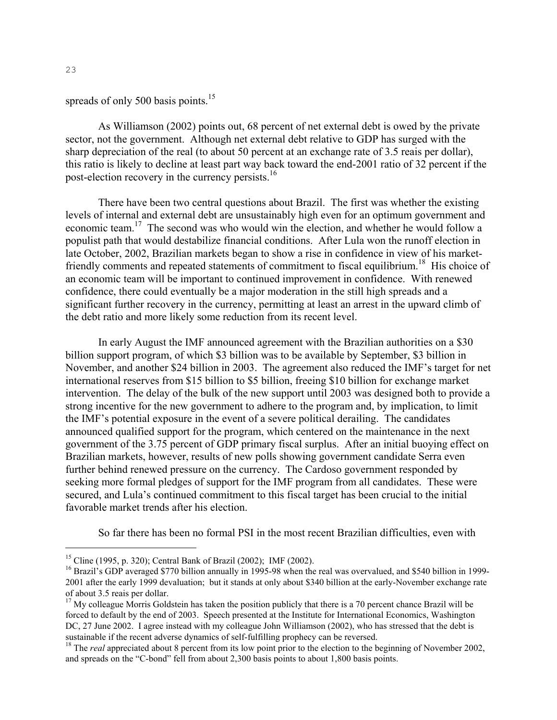spreads of only 500 basis points.<sup>[15](#page-23-0)</sup>

 As Williamson (2002) points out, 68 percent of net external debt is owed by the private sector, not the government. Although net external debt relative to GDP has surged with the sharp depreciation of the real (to about 50 percent at an exchange rate of 3.5 reais per dollar), this ratio is likely to decline at least part way back toward the end-2001 ratio of 32 percent if the post-election recovery in the currency persists.<sup>[16](#page-23-1)</sup>

 There have been two central questions about Brazil. The first was whether the existing levels of internal and external debt are unsustainably high even for an optimum government and economic team.[17](#page-23-2) The second was who would win the election, and whether he would follow a populist path that would destabilize financial conditions. After Lula won the runoff election in late October, 2002, Brazilian markets began to show a rise in confidence in view of his marketfriendly comments and repeated statements of commitment to fiscal equilibrium.<sup>18</sup> His choice of an economic team will be important to continued improvement in confidence. With renewed confidence, there could eventually be a major moderation in the still high spreads and a significant further recovery in the currency, permitting at least an arrest in the upward climb of the debt ratio and more likely some reduction from its recent level.

 In early August the IMF announced agreement with the Brazilian authorities on a \$30 billion support program, of which \$3 billion was to be available by September, \$3 billion in November, and another \$24 billion in 2003. The agreement also reduced the IMF's target for net international reserves from \$15 billion to \$5 billion, freeing \$10 billion for exchange market intervention. The delay of the bulk of the new support until 2003 was designed both to provide a strong incentive for the new government to adhere to the program and, by implication, to limit the IMF's potential exposure in the event of a severe political derailing. The candidates announced qualified support for the program, which centered on the maintenance in the next government of the 3.75 percent of GDP primary fiscal surplus. After an initial buoying effect on Brazilian markets, however, results of new polls showing government candidate Serra even further behind renewed pressure on the currency. The Cardoso government responded by seeking more formal pledges of support for the IMF program from all candidates. These were secured, and Lula's continued commitment to this fiscal target has been crucial to the initial favorable market trends after his election.

So far there has been no formal PSI in the most recent Brazilian difficulties, even with

i<br>I

<span id="page-23-0"></span><sup>&</sup>lt;sup>15</sup> Cline (1995, p. 320); Central Bank of Brazil (2002); IMF (2002).

<span id="page-23-1"></span><sup>&</sup>lt;sup>16</sup> Brazil's GDP averaged \$770 billion annually in 1995-98 when the real was overvalued, and \$540 billion in 1999-2001 after the early 1999 devaluation; but it stands at only about \$340 billion at the early-November exchange rate of about 3.5 reais per dollar.

<span id="page-23-2"></span> $17$  My colleague Morris Goldstein has taken the position publicly that there is a 70 percent chance Brazil will be forced to default by the end of 2003. Speech presented at the Institute for International Economics, Washington DC, 27 June 2002. I agree instead with my colleague John Williamson (2002), who has stressed that the debt is sustainable if the recent adverse dynamics of self-fulfilling prophecy can be reversed.<br><sup>18</sup> The *real* appreciated about 8 percent from its low point prior to the election to the beginning of November 2002,

<span id="page-23-3"></span>and spreads on the "C-bond" fell from about 2,300 basis points to about 1,800 basis points.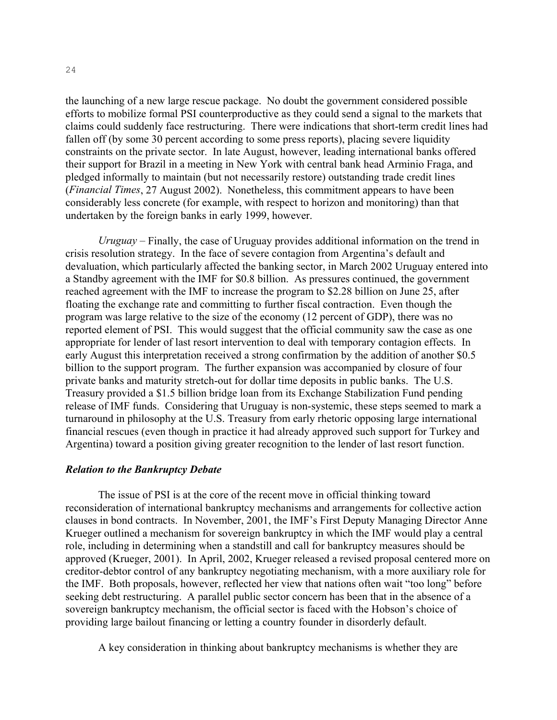the launching of a new large rescue package. No doubt the government considered possible efforts to mobilize formal PSI counterproductive as they could send a signal to the markets that claims could suddenly face restructuring. There were indications that short-term credit lines had fallen off (by some 30 percent according to some press reports), placing severe liquidity constraints on the private sector. In late August, however, leading international banks offered their support for Brazil in a meeting in New York with central bank head Arminio Fraga, and pledged informally to maintain (but not necessarily restore) outstanding trade credit lines (*Financial Times*, 27 August 2002). Nonetheless, this commitment appears to have been considerably less concrete (for example, with respect to horizon and monitoring) than that undertaken by the foreign banks in early 1999, however.

*Uruguay –* Finally, the case of Uruguay provides additional information on the trend in crisis resolution strategy. In the face of severe contagion from Argentina's default and devaluation, which particularly affected the banking sector, in March 2002 Uruguay entered into a Standby agreement with the IMF for \$0.8 billion. As pressures continued, the government reached agreement with the IMF to increase the program to \$2.28 billion on June 25, after floating the exchange rate and committing to further fiscal contraction. Even though the program was large relative to the size of the economy (12 percent of GDP), there was no reported element of PSI. This would suggest that the official community saw the case as one appropriate for lender of last resort intervention to deal with temporary contagion effects. In early August this interpretation received a strong confirmation by the addition of another \$0.5 billion to the support program. The further expansion was accompanied by closure of four private banks and maturity stretch-out for dollar time deposits in public banks. The U.S. Treasury provided a \$1.5 billion bridge loan from its Exchange Stabilization Fund pending release of IMF funds. Considering that Uruguay is non-systemic, these steps seemed to mark a turnaround in philosophy at the U.S. Treasury from early rhetoric opposing large international financial rescues (even though in practice it had already approved such support for Turkey and Argentina) toward a position giving greater recognition to the lender of last resort function.

# *Relation to the Bankruptcy Debate*

 The issue of PSI is at the core of the recent move in official thinking toward reconsideration of international bankruptcy mechanisms and arrangements for collective action clauses in bond contracts. In November, 2001, the IMF's First Deputy Managing Director Anne Krueger outlined a mechanism for sovereign bankruptcy in which the IMF would play a central role, including in determining when a standstill and call for bankruptcy measures should be approved (Krueger, 2001). In April, 2002, Krueger released a revised proposal centered more on creditor-debtor control of any bankruptcy negotiating mechanism, with a more auxiliary role for the IMF. Both proposals, however, reflected her view that nations often wait "too long" before seeking debt restructuring. A parallel public sector concern has been that in the absence of a sovereign bankruptcy mechanism, the official sector is faced with the Hobson's choice of providing large bailout financing or letting a country founder in disorderly default.

A key consideration in thinking about bankruptcy mechanisms is whether they are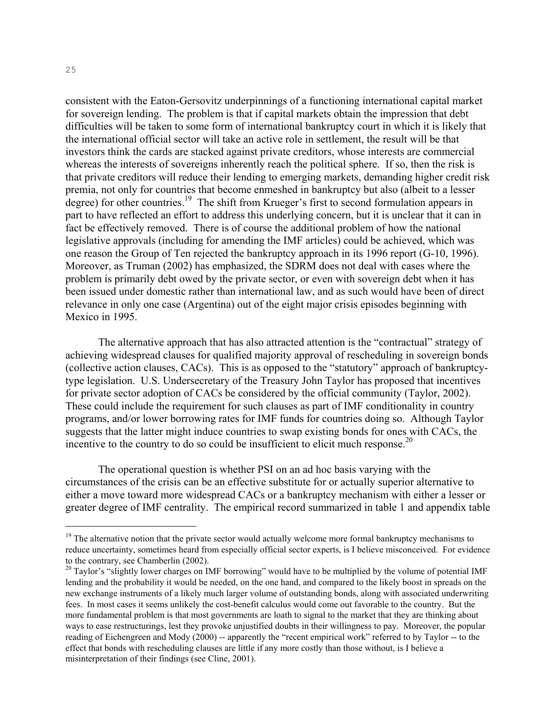consistent with the Eaton-Gersovitz underpinnings of a functioning international capital market for sovereign lending. The problem is that if capital markets obtain the impression that debt difficulties will be taken to some form of international bankruptcy court in which it is likely that the international official sector will take an active role in settlement, the result will be that investors think the cards are stacked against private creditors, whose interests are commercial whereas the interests of sovereigns inherently reach the political sphere. If so, then the risk is that private creditors will reduce their lending to emerging markets, demanding higher credit risk premia, not only for countries that become enmeshed in bankruptcy but also (albeit to a lesser degree) for other countries.<sup>19</sup> The shift from Krueger's first to second formulation appears in part to have reflected an effort to address this underlying concern, but it is unclear that it can in fact be effectively removed. There is of course the additional problem of how the national legislative approvals (including for amending the IMF articles) could be achieved, which was one reason the Group of Ten rejected the bankruptcy approach in its 1996 report (G-10, 1996). Moreover, as Truman (2002) has emphasized, the SDRM does not deal with cases where the problem is primarily debt owed by the private sector, or even with sovereign debt when it has been issued under domestic rather than international law, and as such would have been of direct relevance in only one case (Argentina) out of the eight major crisis episodes beginning with Mexico in 1995.

 The alternative approach that has also attracted attention is the "contractual" strategy of achieving widespread clauses for qualified majority approval of rescheduling in sovereign bonds (collective action clauses, CACs). This is as opposed to the "statutory" approach of bankruptcytype legislation. U.S. Undersecretary of the Treasury John Taylor has proposed that incentives for private sector adoption of CACs be considered by the official community (Taylor, 2002). These could include the requirement for such clauses as part of IMF conditionality in country programs, and/or lower borrowing rates for IMF funds for countries doing so. Although Taylor suggests that the latter might induce countries to swap existing bonds for ones with CACs, the incentive to the country to do so could be insufficient to elicit much response.<sup>20</sup>

 The operational question is whether PSI on an ad hoc basis varying with the circumstances of the crisis can be an effective substitute for or actually superior alternative to either a move toward more widespread CACs or a bankruptcy mechanism with either a lesser or greater degree of IMF centrality. The empirical record summarized in table 1 and appendix table

 $\overline{\phantom{0}}$ 

<span id="page-25-0"></span><sup>&</sup>lt;sup>19</sup> The alternative notion that the private sector would actually welcome more formal bankruptcy mechanisms to reduce uncertainty, sometimes heard from especially official sector experts, is I believe misconceived. For evidence to the contrary, see Chamberlin (2002).

<span id="page-25-1"></span><sup>&</sup>lt;sup>20</sup> Taylor's "slightly lower charges on IMF borrowing" would have to be multiplied by the volume of potential IMF lending and the probability it would be needed, on the one hand, and compared to the likely boost in spreads on the new exchange instruments of a likely much larger volume of outstanding bonds, along with associated underwriting fees. In most cases it seems unlikely the cost-benefit calculus would come out favorable to the country. But the more fundamental problem is that most governments are loath to signal to the market that they are thinking about ways to ease restructurings, lest they provoke unjustified doubts in their willingness to pay. Moreover, the popular reading of Eichengreen and Mody (2000) -- apparently the "recent empirical work" referred to by Taylor -- to the effect that bonds with rescheduling clauses are little if any more costly than those without, is I believe a misinterpretation of their findings (see Cline, 2001).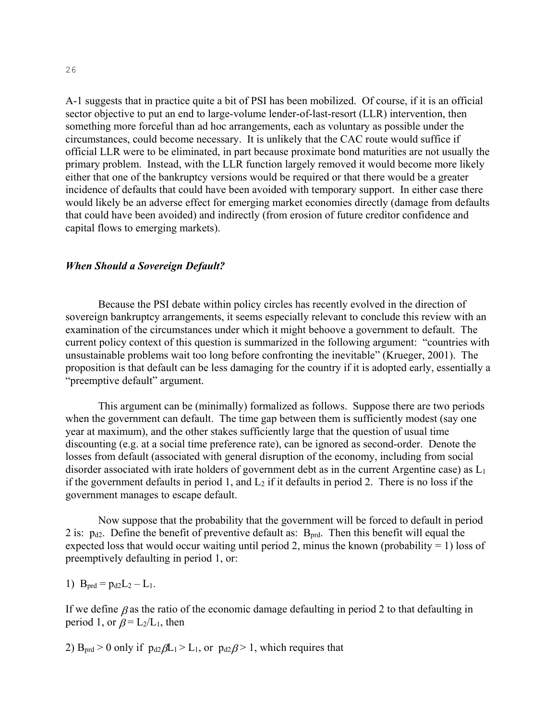A-1 suggests that in practice quite a bit of PSI has been mobilized. Of course, if it is an official sector objective to put an end to large-volume lender-of-last-resort (LLR) intervention, then something more forceful than ad hoc arrangements, each as voluntary as possible under the circumstances, could become necessary. It is unlikely that the CAC route would suffice if official LLR were to be eliminated, in part because proximate bond maturities are not usually the primary problem. Instead, with the LLR function largely removed it would become more likely either that one of the bankruptcy versions would be required or that there would be a greater incidence of defaults that could have been avoided with temporary support. In either case there would likely be an adverse effect for emerging market economies directly (damage from defaults that could have been avoided) and indirectly (from erosion of future creditor confidence and capital flows to emerging markets).

### *When Should a Sovereign Default?*

 Because the PSI debate within policy circles has recently evolved in the direction of sovereign bankruptcy arrangements, it seems especially relevant to conclude this review with an examination of the circumstances under which it might behoove a government to default. The current policy context of this question is summarized in the following argument: "countries with unsustainable problems wait too long before confronting the inevitable" (Krueger, 2001). The proposition is that default can be less damaging for the country if it is adopted early, essentially a "preemptive default" argument.

 This argument can be (minimally) formalized as follows. Suppose there are two periods when the government can default. The time gap between them is sufficiently modest (say one year at maximum), and the other stakes sufficiently large that the question of usual time discounting (e.g. at a social time preference rate), can be ignored as second-order. Denote the losses from default (associated with general disruption of the economy, including from social disorder associated with irate holders of government debt as in the current Argentine case) as L1 if the government defaults in period 1, and  $L_2$  if it defaults in period 2. There is no loss if the government manages to escape default.

 Now suppose that the probability that the government will be forced to default in period 2 is:  $p_{d2}$ . Define the benefit of preventive default as:  $B_{\text{prd}}$ . Then this benefit will equal the expected loss that would occur waiting until period 2, minus the known (probability  $= 1$ ) loss of preemptively defaulting in period 1, or:

1) B<sub>prd</sub> =  $p_{d2}L_2 - L_1$ .

If we define  $\beta$  as the ratio of the economic damage defaulting in period 2 to that defaulting in period 1, or  $\beta = L_2/L_1$ , then

2)  $B_{\text{ord}} > 0$  only if  $p_{d2}BL_1 > L_1$ , or  $p_{d2}B > 1$ , which requires that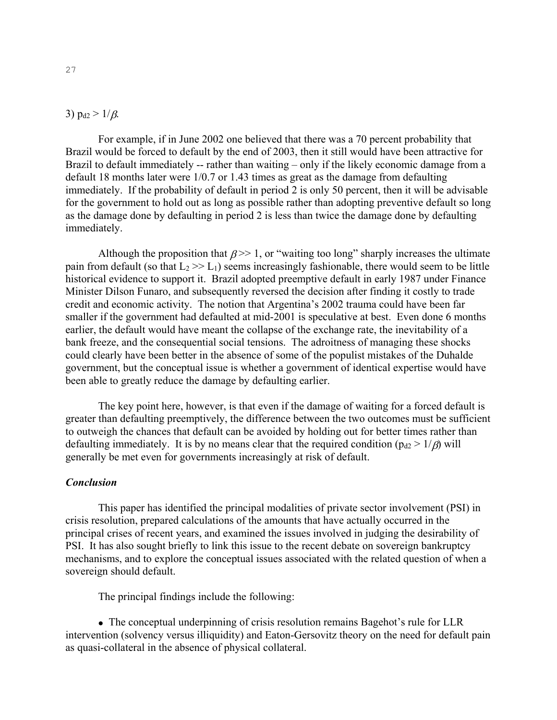# 3)  $p_{d2}$  >  $1/\beta$ .

 For example, if in June 2002 one believed that there was a 70 percent probability that Brazil would be forced to default by the end of 2003, then it still would have been attractive for Brazil to default immediately -- rather than waiting – only if the likely economic damage from a default 18 months later were 1/0.7 or 1.43 times as great as the damage from defaulting immediately. If the probability of default in period 2 is only 50 percent, then it will be advisable for the government to hold out as long as possible rather than adopting preventive default so long as the damage done by defaulting in period 2 is less than twice the damage done by defaulting immediately.

Although the proposition that  $\beta \geq 1$ , or "waiting too long" sharply increases the ultimate pain from default (so that  $L_2 \gg L_1$ ) seems increasingly fashionable, there would seem to be little historical evidence to support it. Brazil adopted preemptive default in early 1987 under Finance Minister Dilson Funaro, and subsequently reversed the decision after finding it costly to trade credit and economic activity. The notion that Argentina's 2002 trauma could have been far smaller if the government had defaulted at mid-2001 is speculative at best. Even done 6 months earlier, the default would have meant the collapse of the exchange rate, the inevitability of a bank freeze, and the consequential social tensions. The adroitness of managing these shocks could clearly have been better in the absence of some of the populist mistakes of the Duhalde government, but the conceptual issue is whether a government of identical expertise would have been able to greatly reduce the damage by defaulting earlier.

 The key point here, however, is that even if the damage of waiting for a forced default is greater than defaulting preemptively, the difference between the two outcomes must be sufficient to outweigh the chances that default can be avoided by holding out for better times rather than defaulting immediately. It is by no means clear that the required condition ( $p_{d2} > 1/g$ ) will generally be met even for governments increasingly at risk of default.

# *Conclusion*

 This paper has identified the principal modalities of private sector involvement (PSI) in crisis resolution, prepared calculations of the amounts that have actually occurred in the principal crises of recent years, and examined the issues involved in judging the desirability of PSI. It has also sought briefly to link this issue to the recent debate on sovereign bankruptcy mechanisms, and to explore the conceptual issues associated with the related question of when a sovereign should default.

The principal findings include the following:

• The conceptual underpinning of crisis resolution remains Bagehot's rule for LLR intervention (solvency versus illiquidity) and Eaton-Gersovitz theory on the need for default pain as quasi-collateral in the absence of physical collateral.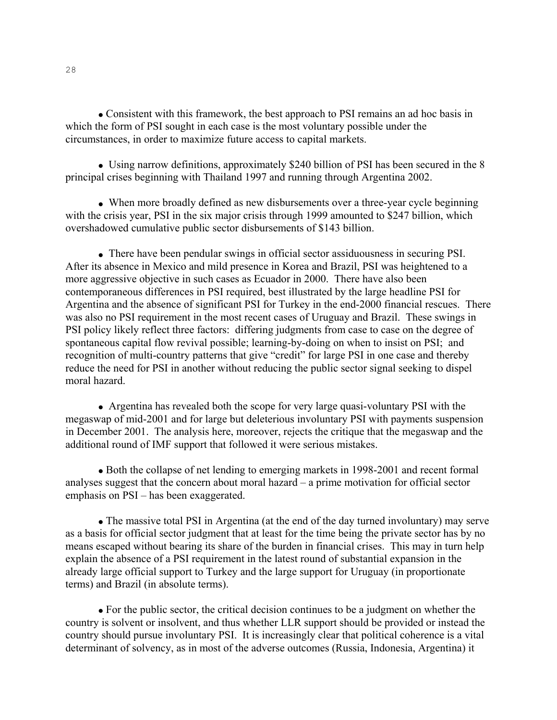• Consistent with this framework, the best approach to PSI remains an ad hoc basis in which the form of PSI sought in each case is the most voluntary possible under the circumstances, in order to maximize future access to capital markets.

• Using narrow definitions, approximately \$240 billion of PSI has been secured in the 8 principal crises beginning with Thailand 1997 and running through Argentina 2002.

• When more broadly defined as new disbursements over a three-year cycle beginning with the crisis year, PSI in the six major crisis through 1999 amounted to \$247 billion, which overshadowed cumulative public sector disbursements of \$143 billion.

• There have been pendular swings in official sector assiduousness in securing PSI. After its absence in Mexico and mild presence in Korea and Brazil, PSI was heightened to a more aggressive objective in such cases as Ecuador in 2000. There have also been contemporaneous differences in PSI required, best illustrated by the large headline PSI for Argentina and the absence of significant PSI for Turkey in the end-2000 financial rescues. There was also no PSI requirement in the most recent cases of Uruguay and Brazil. These swings in PSI policy likely reflect three factors: differing judgments from case to case on the degree of spontaneous capital flow revival possible; learning-by-doing on when to insist on PSI; and recognition of multi-country patterns that give "credit" for large PSI in one case and thereby reduce the need for PSI in another without reducing the public sector signal seeking to dispel moral hazard.

• Argentina has revealed both the scope for very large quasi-voluntary PSI with the megaswap of mid-2001 and for large but deleterious involuntary PSI with payments suspension in December 2001. The analysis here, moreover, rejects the critique that the megaswap and the additional round of IMF support that followed it were serious mistakes.

• Both the collapse of net lending to emerging markets in 1998-2001 and recent formal analyses suggest that the concern about moral hazard – a prime motivation for official sector emphasis on PSI – has been exaggerated.

• The massive total PSI in Argentina (at the end of the day turned involuntary) may serve as a basis for official sector judgment that at least for the time being the private sector has by no means escaped without bearing its share of the burden in financial crises. This may in turn help explain the absence of a PSI requirement in the latest round of substantial expansion in the already large official support to Turkey and the large support for Uruguay (in proportionate terms) and Brazil (in absolute terms).

• For the public sector, the critical decision continues to be a judgment on whether the country is solvent or insolvent, and thus whether LLR support should be provided or instead the country should pursue involuntary PSI. It is increasingly clear that political coherence is a vital determinant of solvency, as in most of the adverse outcomes (Russia, Indonesia, Argentina) it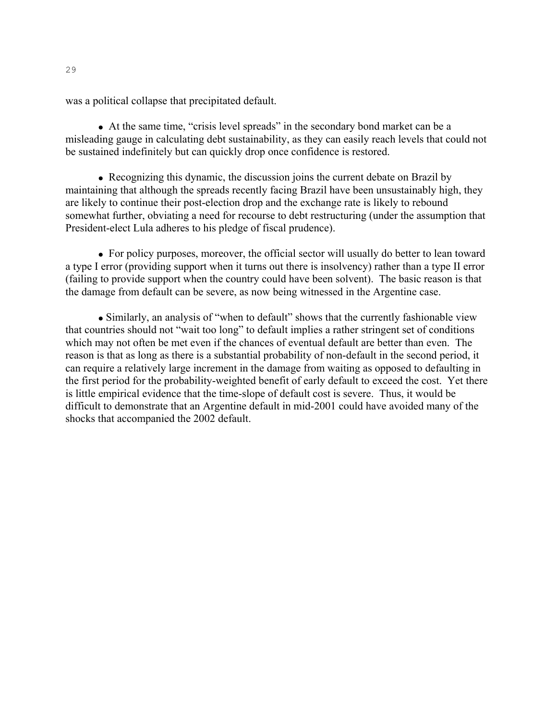was a political collapse that precipitated default.

• At the same time, "crisis level spreads" in the secondary bond market can be a misleading gauge in calculating debt sustainability, as they can easily reach levels that could not be sustained indefinitely but can quickly drop once confidence is restored.

• Recognizing this dynamic, the discussion joins the current debate on Brazil by maintaining that although the spreads recently facing Brazil have been unsustainably high, they are likely to continue their post-election drop and the exchange rate is likely to rebound somewhat further, obviating a need for recourse to debt restructuring (under the assumption that President-elect Lula adheres to his pledge of fiscal prudence).

• For policy purposes, moreover, the official sector will usually do better to lean toward a type I error (providing support when it turns out there is insolvency) rather than a type II error (failing to provide support when the country could have been solvent). The basic reason is that the damage from default can be severe, as now being witnessed in the Argentine case.

• Similarly, an analysis of "when to default" shows that the currently fashionable view that countries should not "wait too long" to default implies a rather stringent set of conditions which may not often be met even if the chances of eventual default are better than even. The reason is that as long as there is a substantial probability of non-default in the second period, it can require a relatively large increment in the damage from waiting as opposed to defaulting in the first period for the probability-weighted benefit of early default to exceed the cost. Yet there is little empirical evidence that the time-slope of default cost is severe. Thus, it would be difficult to demonstrate that an Argentine default in mid-2001 could have avoided many of the shocks that accompanied the 2002 default.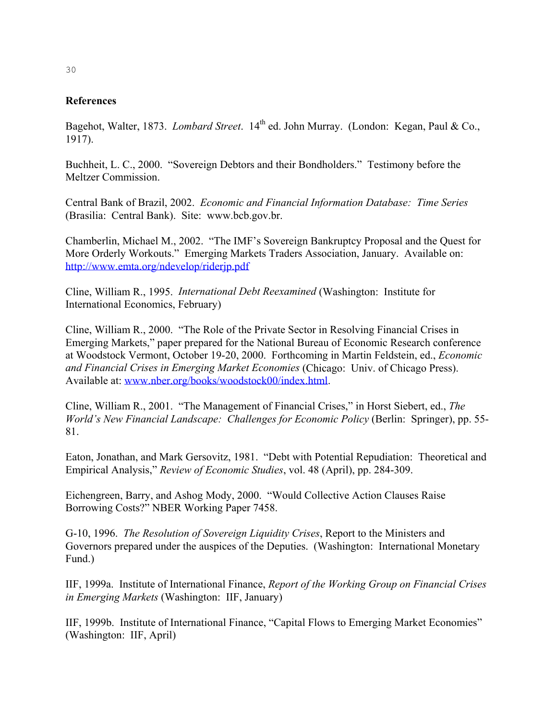# **References**

Bagehot, Walter, 1873. *Lombard Street*. 14<sup>th</sup> ed. John Murray. (London: Kegan, Paul & Co., 1917).

Buchheit, L. C., 2000. "Sovereign Debtors and their Bondholders." Testimony before the Meltzer Commission.

Central Bank of Brazil, 2002. *Economic and Financial Information Database: Time Series*  (Brasilia: Central Bank). Site: www.bcb.gov.br.

Chamberlin, Michael M., 2002. "The IMF's Sovereign Bankruptcy Proposal and the Quest for More Orderly Workouts." Emerging Markets Traders Association, January. Available on: <http://www.emta.org/ndevelop/riderjp.pdf>

Cline, William R., 1995. *International Debt Reexamined* (Washington: Institute for International Economics, February)

Cline, William R., 2000. "The Role of the Private Sector in Resolving Financial Crises in Emerging Markets," paper prepared for the National Bureau of Economic Research conference at Woodstock Vermont, October 19-20, 2000. Forthcoming in Martin Feldstein, ed., *Economic and Financial Crises in Emerging Market Economies* (Chicago: Univ. of Chicago Press). Available at: [www.nber.org/books/woodstock00/index.html.](http://www.nber.org/books/woodstock00/index.html)

Cline, William R., 2001. "The Management of Financial Crises," in Horst Siebert, ed., *The World's New Financial Landscape: Challenges for Economic Policy* (Berlin: Springer), pp. 55- 81.

Eaton, Jonathan, and Mark Gersovitz, 1981. "Debt with Potential Repudiation: Theoretical and Empirical Analysis," *Review of Economic Studies*, vol. 48 (April), pp. 284-309.

Eichengreen, Barry, and Ashog Mody, 2000. "Would Collective Action Clauses Raise Borrowing Costs?" NBER Working Paper 7458.

G-10, 1996. *The Resolution of Sovereign Liquidity Crises*, Report to the Ministers and Governors prepared under the auspices of the Deputies. (Washington: International Monetary Fund.)

IIF, 1999a. Institute of International Finance, *Report of the Working Group on Financial Crises in Emerging Markets* (Washington: IIF, January)

IIF, 1999b. Institute of International Finance, "Capital Flows to Emerging Market Economies" (Washington: IIF, April)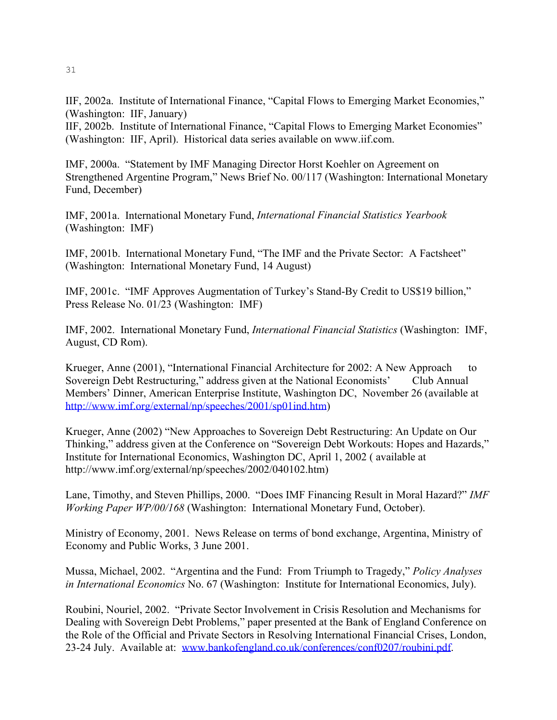IIF, 2002a. Institute of International Finance, "Capital Flows to Emerging Market Economies," (Washington: IIF, January)

IIF, 2002b. Institute of International Finance, "Capital Flows to Emerging Market Economies" (Washington: IIF, April). Historical data series available on www.iif.com.

IMF, 2000a. "Statement by IMF Managing Director Horst Koehler on Agreement on Strengthened Argentine Program," News Brief No. 00/117 (Washington: International Monetary Fund, December)

IMF, 2001a. International Monetary Fund, *International Financial Statistics Yearbook* (Washington: IMF)

IMF, 2001b. International Monetary Fund, "The IMF and the Private Sector: A Factsheet" (Washington: International Monetary Fund, 14 August)

IMF, 2001c. "IMF Approves Augmentation of Turkey's Stand-By Credit to US\$19 billion," Press Release No. 01/23 (Washington: IMF)

IMF, 2002. International Monetary Fund, *International Financial Statistics* (Washington: IMF, August, CD Rom).

Krueger, Anne (2001), "International Financial Architecture for 2002: A New Approach to Sovereign Debt Restructuring," address given at the National Economists' Club Annual Members' Dinner, American Enterprise Institute, Washington DC, November 26 (available at <http://www.imf.org/external/np/speeches/2001/sp01ind.htm>)

Krueger, Anne (2002) "New Approaches to Sovereign Debt Restructuring: An Update on Our Thinking," address given at the Conference on "Sovereign Debt Workouts: Hopes and Hazards," Institute for International Economics, Washington DC, April 1, 2002 ( available at <http://www.imf.org/external/np/speeches/2002/040102.htm>)

Lane, Timothy, and Steven Phillips, 2000. "Does IMF Financing Result in Moral Hazard?" *IMF Working Paper WP/00/168* (Washington: International Monetary Fund, October).

Ministry of Economy, 2001. News Release on terms of bond exchange, Argentina, Ministry of Economy and Public Works, 3 June 2001.

Mussa, Michael, 2002. "Argentina and the Fund: From Triumph to Tragedy," *Policy Analyses in International Economics* No. 67 (Washington: Institute for International Economics, July).

Roubini, Nouriel, 2002. "Private Sector Involvement in Crisis Resolution and Mechanisms for Dealing with Sovereign Debt Problems," paper presented at the Bank of England Conference on the Role of the Official and Private Sectors in Resolving International Financial Crises, London, 23-24 July. Available at: [www.bankofengland.co.uk/conferences/conf0207/roubini.pdf.](http://www.bankofengland.co.uk/conferences/conf0207/roubini.pdf)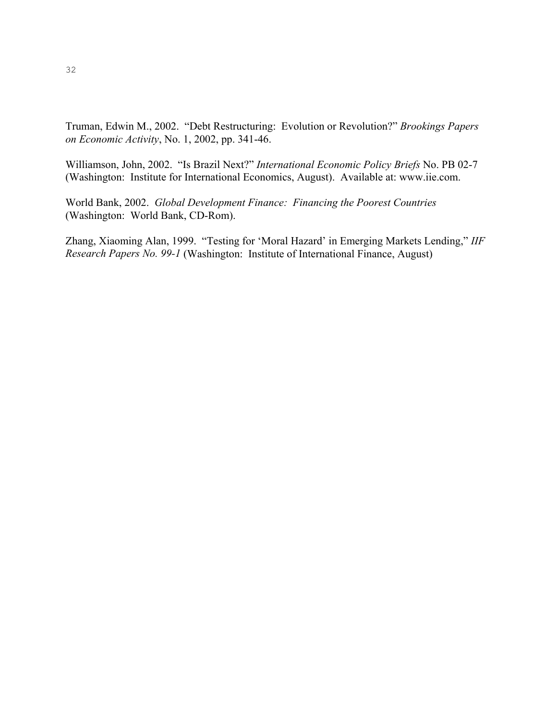Truman, Edwin M., 2002. "Debt Restructuring: Evolution or Revolution?" *Brookings Papers on Economic Activity*, No. 1, 2002, pp. 341-46.

Williamson, John, 2002. "Is Brazil Next?" *International Economic Policy Briefs* No. PB 02-7 (Washington: Institute for International Economics, August). Available at: www.iie.com.

World Bank, 2002. *Global Development Finance: Financing the Poorest Countries*  (Washington: World Bank, CD-Rom).

Zhang, Xiaoming Alan, 1999. "Testing for 'Moral Hazard' in Emerging Markets Lending," *IIF Research Papers No. 99-1* (Washington: Institute of International Finance, August)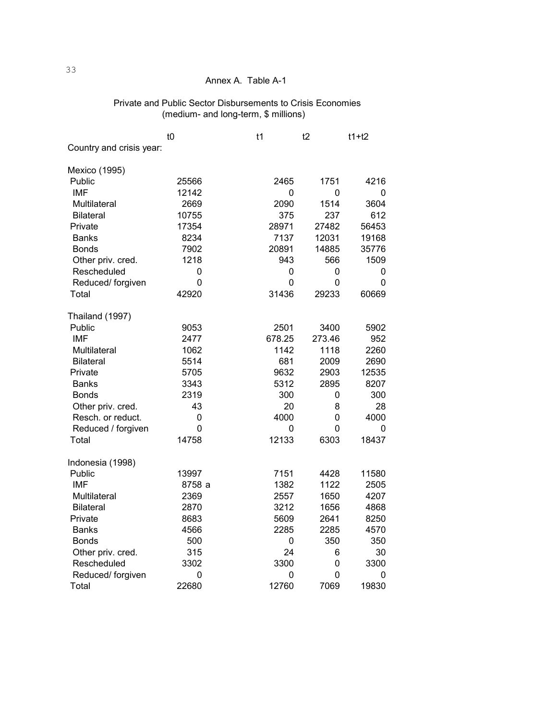# Annex A. Table A-1

# Private and Public Sector Disbursements to Crisis Economies (medium- and long-term, \$ millions)

|                          | t <sub>0</sub> | t1     | t2     | $t1 + t2$ |
|--------------------------|----------------|--------|--------|-----------|
| Country and crisis year: |                |        |        |           |
| Mexico (1995)            |                |        |        |           |
| Public                   | 25566          | 2465   | 1751   | 4216      |
| <b>IMF</b>               | 12142          | 0      | 0      | 0         |
| Multilateral             | 2669           | 2090   | 1514   | 3604      |
| <b>Bilateral</b>         | 10755          | 375    | 237    | 612       |
| Private                  | 17354          | 28971  | 27482  | 56453     |
| <b>Banks</b>             | 8234           | 7137   | 12031  | 19168     |
| <b>Bonds</b>             | 7902           | 20891  | 14885  | 35776     |
| Other priv. cred.        | 1218           | 943    | 566    | 1509      |
| Rescheduled              | $\mathbf 0$    | 0      | 0      | 0         |
| Reduced/ forgiven        | 0              | 0      | 0      | 0         |
| Total                    | 42920          | 31436  | 29233  | 60669     |
| Thailand (1997)          |                |        |        |           |
| Public                   | 9053           | 2501   | 3400   | 5902      |
| <b>IMF</b>               | 2477           | 678.25 | 273.46 | 952       |
| Multilateral             | 1062           | 1142   | 1118   | 2260      |
| <b>Bilateral</b>         | 5514           | 681    | 2009   | 2690      |
| Private                  | 5705           | 9632   | 2903   | 12535     |
| <b>Banks</b>             | 3343           | 5312   | 2895   | 8207      |
| <b>Bonds</b>             | 2319           | 300    | 0      | 300       |
| Other priv. cred.        | 43             | 20     | 8      | 28        |
| Resch. or reduct.        | 0              | 4000   | 0      | 4000      |
| Reduced / forgiven       | 0              | 0      | 0      | 0         |
| Total                    | 14758          | 12133  | 6303   | 18437     |
| Indonesia (1998)         |                |        |        |           |
| Public                   | 13997          | 7151   | 4428   | 11580     |
| <b>IMF</b>               | 8758 a         | 1382   | 1122   | 2505      |
| Multilateral             | 2369           | 2557   | 1650   | 4207      |
| <b>Bilateral</b>         | 2870           | 3212   | 1656   | 4868      |
| Private                  | 8683           | 5609   | 2641   | 8250      |
| <b>Banks</b>             | 4566           | 2285   | 2285   | 4570      |
| <b>Bonds</b>             | 500            | 0      | 350    | 350       |
| Other priv. cred.        | 315            | 24     | 6      | 30        |
| Rescheduled              | 3302           | 3300   | 0      | 3300      |
| Reduced/ forgiven        | 0              | 0      | 0      | 0         |
| Total                    | 22680          | 12760  | 7069   | 19830     |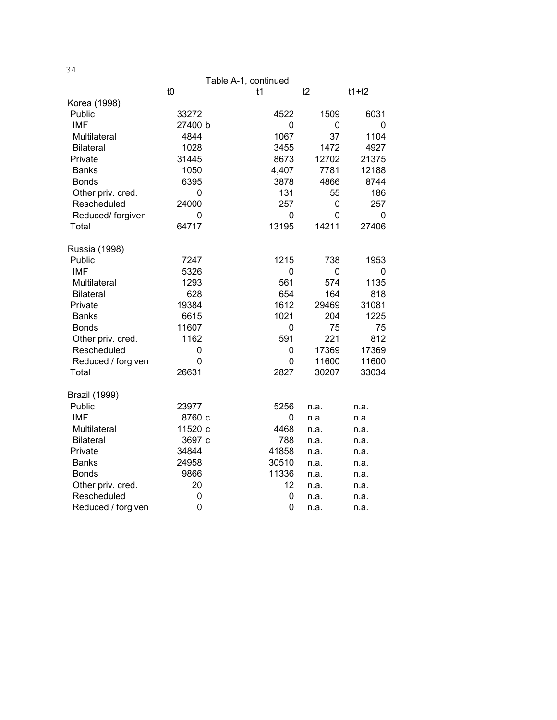|                      | Table A-1, continued |       |       |         |
|----------------------|----------------------|-------|-------|---------|
|                      | t <sub>0</sub>       | t1    | t2    | $t1+t2$ |
| Korea (1998)         |                      |       |       |         |
| Public               | 33272                | 4522  | 1509  | 6031    |
| <b>IMF</b>           | 27400 b              | 0     | 0     | 0       |
| Multilateral         | 4844                 | 1067  | 37    | 1104    |
| <b>Bilateral</b>     | 1028                 | 3455  | 1472  | 4927    |
| Private              | 31445                | 8673  | 12702 | 21375   |
| <b>Banks</b>         | 1050                 | 4,407 | 7781  | 12188   |
| <b>Bonds</b>         | 6395                 | 3878  | 4866  | 8744    |
| Other priv. cred.    | 0                    | 131   | 55    | 186     |
| Rescheduled          | 24000                | 257   | 0     | 257     |
| Reduced/ forgiven    | $\mathbf 0$          | 0     | 0     | 0       |
| Total                | 64717                | 13195 | 14211 | 27406   |
| Russia (1998)        |                      |       |       |         |
| Public               | 7247                 | 1215  | 738   | 1953    |
| <b>IMF</b>           | 5326                 | 0     | 0     | 0       |
| Multilateral         | 1293                 | 561   | 574   | 1135    |
| <b>Bilateral</b>     | 628                  | 654   | 164   | 818     |
| Private              | 19384                | 1612  | 29469 | 31081   |
| <b>Banks</b>         | 6615                 | 1021  | 204   | 1225    |
| <b>Bonds</b>         | 11607                | 0     | 75    | 75      |
| Other priv. cred.    | 1162                 | 591   | 221   | 812     |
| Rescheduled          | 0                    | 0     | 17369 | 17369   |
| Reduced / forgiven   | $\mathbf 0$          | 0     | 11600 | 11600   |
| Total                | 26631                | 2827  | 30207 | 33034   |
| <b>Brazil (1999)</b> |                      |       |       |         |
| Public               | 23977                | 5256  | n.a.  | n.a.    |
| <b>IMF</b>           | 8760 c               | 0     | n.a.  | n.a.    |
| Multilateral         | 11520 c              | 4468  | n.a.  | n.a.    |
| <b>Bilateral</b>     | 3697 c               | 788   | n.a.  | n.a.    |
| Private              | 34844                | 41858 | n.a.  | n.a.    |
| <b>Banks</b>         | 24958                | 30510 | n.a.  | n.a.    |
| <b>Bonds</b>         | 9866                 | 11336 | n.a.  | n.a.    |
| Other priv. cred.    | 20                   | 12    | n.a.  | n.a.    |
| Rescheduled          | 0                    | 0     | n.a.  | n.a.    |
| Reduced / forgiven   | $\mathbf 0$          | 0     | n.a.  | n.a.    |

34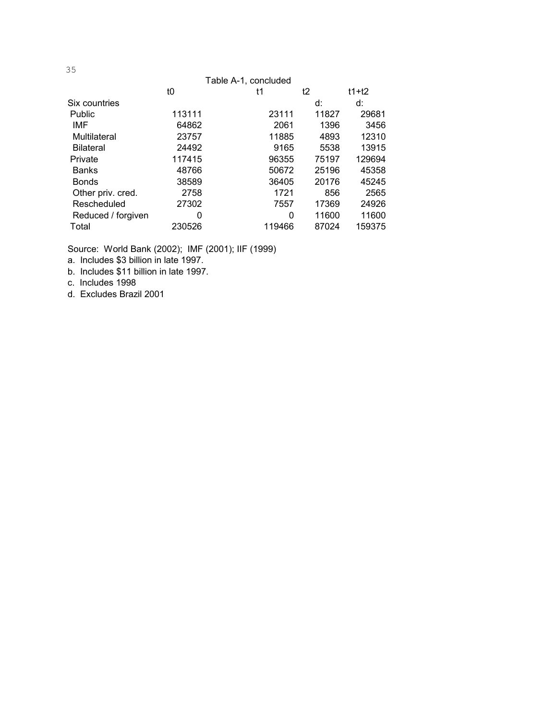|                    |        | Table A-1, concluded |       |         |
|--------------------|--------|----------------------|-------|---------|
|                    | t0     | t1                   | t2    | $t1+t2$ |
| Six countries      |        |                      | d:    | d:      |
| Public             | 113111 | 23111                | 11827 | 29681   |
| IMF                | 64862  | 2061                 | 1396  | 3456    |
| Multilateral       | 23757  | 11885                | 4893  | 12310   |
| <b>Bilateral</b>   | 24492  | 9165                 | 5538  | 13915   |
| Private            | 117415 | 96355                | 75197 | 129694  |
| <b>Banks</b>       | 48766  | 50672                | 25196 | 45358   |
| <b>Bonds</b>       | 38589  | 36405                | 20176 | 45245   |
| Other priv. cred.  | 2758   | 1721                 | 856   | 2565    |
| Rescheduled        | 27302  | 7557                 | 17369 | 24926   |
| Reduced / forgiven | 0      | 0                    | 11600 | 11600   |
| Total              | 230526 | 119466               | 87024 | 159375  |
|                    |        |                      |       |         |

Source: World Bank (2002); IMF (2001); IIF (1999)

a. Includes \$3 billion in late 1997.

b. Includes \$11 billion in late 1997.

c. Includes 1998

d. Excludes Brazil 2001